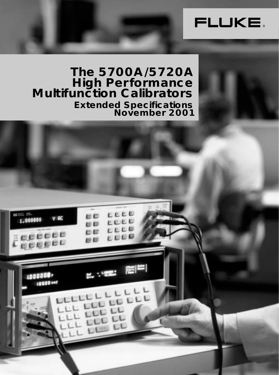

# **The 5700A/5720A High Performance Multifunction Calibrators Extended Specifications November 2001**

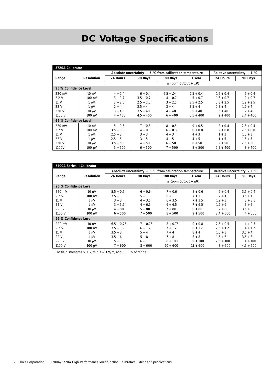# **DC Voltage Specifications**

| 5720A Calibrator      |                   |                              |                                                                                                 |             |             |             |             |  |  |  |  |
|-----------------------|-------------------|------------------------------|-------------------------------------------------------------------------------------------------|-------------|-------------|-------------|-------------|--|--|--|--|
|                       |                   |                              | Absolute uncertainty $\pm$ 5 °C from calibration temperature<br>Relative uncertainty $\pm$ 1 °C |             |             |             |             |  |  |  |  |
| Range                 | <b>Resolution</b> | 24 Hours                     | 90 Days                                                                                         | 180 Days    | 1 Year      | 24 Hours    | 90 Days     |  |  |  |  |
|                       |                   | $\pm$ (ppm output + $\mu$ V) |                                                                                                 |             |             |             |             |  |  |  |  |
| 95 % Confidence Level |                   |                              |                                                                                                 |             |             |             |             |  |  |  |  |
| 220 mV                | $10 \text{ nV}$   | $4 + 0.4$                    | $6 + 0.4$                                                                                       | $6.5 + .04$ | $7.5 + 0.4$ | $1.6 + 0.4$ | $2 + 0.4$   |  |  |  |  |
| 2.2V                  | $100 \text{ nV}$  | $3 + 0.7$                    | $3.5 + 0.7$                                                                                     | $4 + 0.7$   | $5 + 0.7$   | $1.6 + 0.7$ | $2 + 0.7$   |  |  |  |  |
| 11 V                  | $1 \mu V$         | $2 + 2.5$                    | $2.5 + 2.5$                                                                                     | $3 + 2.5$   | $3.5 + 2.5$ | $0.8 + 2.5$ | $1.2 + 2.5$ |  |  |  |  |
| 22 V                  | $1 \mu V$         | $2 + 4$                      | $2.5 + 4$                                                                                       | $3 + 4$     | $3.5 + 4$   | $0.8 + 4$   | $1.2 + 4$   |  |  |  |  |
| 220 V                 | $10 \mu V$        | $3 + 40$                     | $3.5 + 40$                                                                                      | $4 + 40$    | $5 + 40$    | $1.6 + 40$  | $2 + 40$    |  |  |  |  |
| 1100 V                | $100 \mu V$       | $4 + 400$                    | $4.5 + 400$                                                                                     | $6 + 400$   | $6.5 + 400$ | $2 + 400$   | $2.4 + 400$ |  |  |  |  |
| 99 % Confidence Level |                   |                              |                                                                                                 |             |             |             |             |  |  |  |  |
| 220 mV                | $10 \text{ nV}$   | $5 + 0.5$                    | $7 + 0.5$                                                                                       | $8 + 0.5$   | $9 + 0.5$   | $2 + 0.4$   | $2.5 + 0.4$ |  |  |  |  |
| 2.2V                  | $100 \text{ nV}$  | $3.5 + 0.8$                  | $4 + 0.8$                                                                                       | $6 + 0.8$   | $6 + 0.8$   | $2 + 0.8$   | $2.5 + 0.8$ |  |  |  |  |
| 11 V                  | $1 \mu V$         | $2.5 + 3$                    | $3 + 3$                                                                                         | $4 + 3$     | $4 + 3$     | $1 + 3$     | $1.5 + 3$   |  |  |  |  |
| 22 V                  | $1 \mu V$         | $2.5 + 5$                    | $3 + 5$                                                                                         | $4 + 5$     | $4 + 5$     | $1 + 5$     | $1.5 + 5$   |  |  |  |  |
| 220 V                 | $10 \mu V$        | $3.5 + 50$                   | $4 + 50$                                                                                        | $6 + 50$    | $6 + 50$    | $2 + 50$    | $2.5 + 50$  |  |  |  |  |
| 1100V                 | 100 uV            | $5 + 500$                    | $6 + 500$                                                                                       | $7 + 500$   | $8 + 500$   | $2.5 + 400$ | $3 + 400$   |  |  |  |  |

| 5700A Series II Calibrator |                   |                              |                                                                                                 |            |            |             |             |  |  |  |
|----------------------------|-------------------|------------------------------|-------------------------------------------------------------------------------------------------|------------|------------|-------------|-------------|--|--|--|
|                            |                   |                              | Absolute uncertainty $\pm$ 5 °C from calibration temperature<br>Relative uncertainty $\pm$ 1 °C |            |            |             |             |  |  |  |
| Range                      | <b>Resolution</b> | 24 Hours                     | 90 Days                                                                                         | 180 Days   | 1 Year     | 24 Hours    | 90 Days     |  |  |  |
|                            |                   | $\pm$ (ppm output + $\mu$ V) |                                                                                                 |            |            |             |             |  |  |  |
| 95 % Confidence Level      |                   |                              |                                                                                                 |            |            |             |             |  |  |  |
| 220 mV                     | 10 <sub>1</sub>   | $5.5 + 0.6$                  | $6 + 0.6$                                                                                       | $7 + 0.6$  | $8 + 0.6$  | $2 + 0.4$   | $3.5 + 0.4$ |  |  |  |
| 2.2V                       | $100 \text{ nV}$  | $3.5 + 1$                    | $5 + 1$                                                                                         | $6 + 1$    | $7 + 1$    | $2 + 1$     | $3.5 + 1$   |  |  |  |
| 11V                        | $1 \mu V$         | $3 + 3$                      | $4 + 3.5$                                                                                       | $6 + 3.5$  | $7 + 3.5$  | $1.2 + 3$   | $3 + 3.5$   |  |  |  |
| 22 V                       | $1 \mu V$         | $3 + 5.5$                    | $4 + 6.5$                                                                                       | $6 + 6.5$  | $7 + 6.5$  | $1.2 + 6$   | $3 + 7$     |  |  |  |
| 220 V                      | $10 \mu V$        | $4 + 80$                     | $5 + 80$                                                                                        | $7 + 80$   | $8 + 80$   | $2 + 80$    | $3.5 + 80$  |  |  |  |
| 1100 V                     | $100 \mu V$       | $6 + 500$                    | $7 + 500$                                                                                       | $8 + 500$  | $9 + 500$  | $2.4 + 500$ | $4 + 500$   |  |  |  |
| 99 % Confidence Level      |                   |                              |                                                                                                 |            |            |             |             |  |  |  |
| 220 mV                     | 10 <sub>1</sub>   | $6.5 + 0.75$                 | $7 + 0.75$                                                                                      | $8 + 0.75$ | $9 + 0.8$  | $2.5 + 0.5$ | $4 + 0.5$   |  |  |  |
| 2.2V                       | $100 \text{ nV}$  | $3.5 + 1.2$                  | $6 + 1.2$                                                                                       | $7 + 1.2$  | $8 + 1.2$  | $2.5 + 1.2$ | $4 + 1.2$   |  |  |  |
| 11V                        | $1 \mu V$         | $3.5 + 3$                    | $5 + 4$                                                                                         | $7 + 4$    | $8 + 4$    | $1.5 + 3$   | $3.5 + 4$   |  |  |  |
| 22 V                       | $1 \mu V$         | $3.5 + 6$                    | $5 + 8$                                                                                         | $7 + 8$    | $8 + 8$    | $1.5 + 6$   | $3.5 + 8$   |  |  |  |
| 220 V                      | $10 \mu V$        | $5 + 100$                    | $6 + 100$                                                                                       | $8 + 100$  | $9 + 100$  | $2.5 + 100$ | $4 + 100$   |  |  |  |
| 1100 V                     | $100 \mu V$       | $7 + 600$                    | $8 + 600$                                                                                       | $10 + 600$ | $11 + 600$ | $3 + 600$   | $4.5 + 600$ |  |  |  |

For field strengths  $> 1$  V/m but  $\leq 3$  V/m, add 0.01 % of range.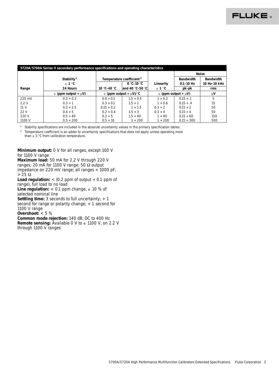| 5720A/5700A Series II secondary performance specifications and operating characteristics |                              |              |                                              |                              |                  |                  |  |  |
|------------------------------------------------------------------------------------------|------------------------------|--------------|----------------------------------------------|------------------------------|------------------|------------------|--|--|
|                                                                                          |                              |              |                                              |                              |                  | <b>Noise</b>     |  |  |
|                                                                                          | Stability <sup>1</sup>       |              | Temperature coefficient <sup>2</sup>         |                              | <b>Bandwidth</b> | <b>Bandwidth</b> |  |  |
|                                                                                          | $\pm 1$ °C                   |              | $0 °C-10 °C$                                 | Linearity                    | $0.1 - 10$ Hz    | 10 Hz-10 kHz     |  |  |
| Range                                                                                    | 24 Hours                     | 10 °C-40 °C  | and 40 °C-50 °C                              | $\pm 1$ °C                   | pk-pk            | rms              |  |  |
|                                                                                          | $\pm$ (ppm output + $\mu$ V) |              | $\pm$ (ppm output + $\mu$ V)/ <sup>o</sup> C | $\pm$ (ppm output + $\mu$ V) |                  | $\mu$ V          |  |  |
| $220 \text{ mV}$                                                                         | $0.3 + 0.3$                  | $0.4 + 0.1$  | $1.5 + 0.5$                                  | $1 + 0.2$                    | $0.15 + .1$      | 5                |  |  |
| 2.2 V                                                                                    | $0.3 + 1$                    | $0.3 + 0.1$  | $1.5 + 2$                                    | $1 + 0.6$                    | $0.15 + .4$      | 15               |  |  |
| 11V                                                                                      | $0.3 + 2.5$                  | $0.15 + 0.2$ | $1 + 1.5$                                    | $0.3 + 2$                    | $0.15 + 2$       | 50               |  |  |
| 22 V                                                                                     | $0.4 + 5$                    | $0.2 + 0.4$  | $1.5 + 3$                                    | $0.3 + 4$                    | $0.15 + 4$       | 50               |  |  |
| 220 V                                                                                    | $0.5 + 40$                   | $0.3 + 5$    | $1.5 + 40$                                   | $1 + 40$                     | $0.15 + 60$      | 150              |  |  |
| 1100 V                                                                                   | $0.5 + 200$                  | $0.5 + 10$   | $3 + 200$                                    | $1 + 200$                    | $0.15 + 300$     | 500              |  |  |

<sup>1</sup> Stability specifications are included in the absolute uncertainty values in the primary specification tables.<br><sup>2</sup> Temperature coefficient is an adder to uncertainty specifications that does not apply unless operating m

<sup>2</sup> Temperature coefficient is an adder to uncertainty specifications that does not apply unless operating more than  $\pm$  5 °C from calibration temperature.

**Minimum output:** 0 V for all ranges, except 100 V for 1100 V range

**Maximum load:** 50 mA for 2.2 V through 220 V ranges; 20 mA for 1100 V range; 50 Ω output impedance on 220 mV range; all ranges < 1000 pF,  $> 25 \Omega$ **Load regulation:**  $<$  (0.2 ppm of output + 0.1 ppm of range), full load to no load **Line regulation:**  $< 0.1$  ppm change,  $\pm 10 \%$  of

selected nominal line

**Settling time:** 3 seconds to full uncertainty; + 1 second for range or polarity change; + 1 second for

1100 V range

**Overshoot:** < 5 %

**Common mode rejection:** 140 dB, DC to 400 Hz

**Remote sensing:** Available 0 V to  $\pm$  1100 V, on 2.2 V

through 1100 V ranges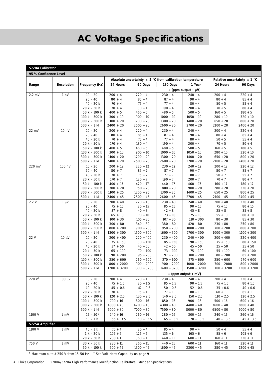# **AC Voltage Specifications**

|                       | 5720A Calibrator  |                                |                            |                            |                                                              |                              |                           |                                 |
|-----------------------|-------------------|--------------------------------|----------------------------|----------------------------|--------------------------------------------------------------|------------------------------|---------------------------|---------------------------------|
| 95 % Confidence Level |                   |                                |                            |                            |                                                              |                              |                           |                                 |
|                       |                   |                                |                            |                            | Absolute uncertainty $\pm$ 5 °C from calibration temperature |                              |                           | Relative uncertainty $\pm 1$ °C |
| Range                 | <b>Resolution</b> | <b>Frequency (Hz)</b>          | 24 Hours                   | 90 Days                    | 180 Days                                                     | 1 Year                       | 24 Hours                  | 90 Days                         |
|                       |                   |                                |                            |                            |                                                              | $\pm$ (ppm output + $\mu$ V) |                           |                                 |
| $2.2 \text{ mV}$      | $1 \text{ nV}$    | $10 - 20$                      | $200 + 4$                  | $220 + 4$                  | $230 + 4$                                                    | $240 + 4$                    | $200 + 4$                 | $220 + 4$                       |
|                       |                   | $20 - 40$                      | $80 + 4$                   | $85 + 4$                   | $87 + 4$                                                     | $90 + 4$                     | $80 + 4$                  | $85 + 4$                        |
|                       |                   | $40 - 20k$                     | $70 + 4$                   | $75 + 4$                   | $77 + 4$                                                     | $80 + 4$                     | $50 + 5$                  | $55 + 4$                        |
|                       |                   | $20 k - 50 k$                  | $170 + 4$                  | $180 + 4$                  | $190 + 4$                                                    | $200 + 4$                    | $70 + 5$                  | $80 + 4$                        |
|                       |                   | $50 k - 100 k$                 | $400 + 5$                  | $460 + 5$                  | $480 + 5$                                                    | $500 + 5$                    | $160 + 5$                 | $180 + 5$                       |
|                       |                   | $100 k - 300 k$                | $300 + 10$                 | $900 + 10$                 | $1000 + 10$                                                  | $1050 + 10$                  | $280 + 10$                | $320 + 10$                      |
|                       |                   | 300 k - 500 k                  | $1100 + 20$                | $1200 + 20$                | $1300 + 20$                                                  | $1400 + 20$                  | $650 + 20$                | $800 + 20$                      |
|                       |                   | $500 k - 1 M$                  | $2400 + 20$                | $2500 + 20$                | $2600 + 20$                                                  | $2700 + 20$                  | $2100 + 20$               | $2400 + 20$                     |
| 22 mV                 | 10 <sub>1</sub> V | $10 - 20$                      | $200 + 4$                  | $220 + 4$                  | $230 + 4$                                                    | $240 + 4$                    | $200 + 4$                 | $220 + 4$                       |
|                       |                   | $20 - 40$                      | $80 + 4$                   | $85 + 4$                   | $87 + 4$                                                     | $90 + 4$                     | $80 + 4$                  | $85 + 4$                        |
|                       |                   | $40 - 20k$                     | $70 + 4$                   | $75 + 4$                   | $77 + 4$                                                     | $80 + 4$                     | $50 + 5$                  | $55 + 4$                        |
|                       |                   | $20 k - 50 k$                  | $170 + 4$                  | $180 + 4$                  | $190 + 4$                                                    | $200 + 4$                    | $70 + 5$                  | $80 + 4$                        |
|                       |                   | $50 k - 100 k$                 | $400 + 5$                  | $460 + 5$                  | $480 + 5$                                                    | $500 + 5$                    | $160 + 5$                 | $180 + 5$                       |
|                       |                   | $100 k - 300 k$                | $300 + 10$                 | $900 + 10$                 | $1000 + 10$                                                  | $1050 + 10$                  | $280 + 10$                | $320 + 10$                      |
|                       |                   | 300 k - 500 k<br>$500 k - 1 M$ | $1100 + 20$<br>$2400 + 20$ | $1200 + 20$<br>$2500 + 20$ | $1300 + 20$<br>$2600 + 20$                                   | $1400 + 20$<br>$2700 + 20$   | $650 + 20$                | $800 + 20$<br>$2400 + 20$       |
| 220 mV                |                   | $10 - 20$                      |                            |                            | $230 + 12$                                                   |                              | $2100 + 20$               |                                 |
|                       | $100 \text{ nV}$  | $20 - 40$                      | $200 + 12$<br>$80 + 7$     | $220 + 12$<br>$85 + 7$     | $87 + 7$                                                     | $240 + 12$<br>$90 + 7$       | $200 + 12$<br>$80 + 7$    | $220 + 12$<br>$85 + 7$          |
|                       |                   | $40 - 20k$                     | $70 + 7$                   | $75 + 7$                   | $77 + 7$                                                     | $80 + 7$                     | $50 + 7$                  | $55 + 7$                        |
|                       |                   | $20 k - 50 k$                  | $170 + 7$                  | $180 + 7$                  | $190 + 7$                                                    | $200 + 7$                    | $70 + 7$                  | $80 + 7$                        |
|                       |                   | $50 k - 100 k$                 | $400 + 17$                 | $420 + 17$                 | $440 + 17$                                                   | $460 + 17$                   | $160 + 17$                | $180 + 17$                      |
|                       |                   | $100 k - 300 k$                | $700 + 20$                 | $750 + 20$                 | $800 + 20$                                                   | $900 + 20$                   | $280 + 20$                | $320 + 20$                      |
|                       |                   | 300 k - 500 k                  | $1100 + 25$                | $1200 + 25$                | $1300 + 25$                                                  | $1400 + 25$                  | $650 + 25$                | $800 + 25$                      |
|                       |                   | $500 k - 1 M$                  | $2400 + 45$                | $2500 + 45$                | $2600 + 45$                                                  | $2700 + 45$                  | $2100 + 45$               | $2400 + 45$                     |
| 2.2V                  | $1 \mu V$         | $10 - 20$                      | $200 + 40$                 | $220 + 40$                 | $230 + 40$                                                   | $240 + 40$                   | $200 + 40$                | $220 + 40$                      |
|                       |                   | $20 - 40$                      | $75 + 15$                  | $80 + 15$                  | $85 + 15$                                                    | $90 + 15$                    | $75 + 15$                 | $80 + 15$                       |
|                       |                   | $40 - 20k$                     | $37 + 8$                   | $40 + 8$                   | $42 + 8$                                                     | $45 + 8$                     | $25 + 8$                  | $35 + 8$                        |
|                       |                   | $20 k - 50 k$                  | $65 + 10$                  | $70 + 10$                  | $73 + 10$                                                    | $75 + 10$                    | $55 + 10$                 | $60 + 10$                       |
|                       |                   | $50 k - 100 k$                 | $100 + 30$                 | $105 + 30$                 | $107 + 30$                                                   | $110 + 300$                  | $80 + 30$                 | $85 + 30$                       |
|                       |                   | $100 k - 300 k$                | $300 + 80$                 | $340 + 80$                 | $380 + 80$                                                   | $420 + 80$                   | $230 + 80$                | $250 + 80$                      |
|                       |                   | $300 k - 500 k$                | $800 + 200$                | $900 + 200$                | $950 + 200$                                                  | $1000 + 200$                 | $700 + 200$               | $800 + 200$                     |
|                       |                   | 500 k - 1 M                    | $1300 + 300$               | $1500 + 300$               | $1600 + 300$                                                 | $1700 + 300$                 | $1000 + 300$              | $1100 + 300$                    |
| 22 V                  | $10 \mu V$        | $10 - 20$<br>$20 - 40$         | $200 + 400$<br>$75 + 150$  | $220 + 400$<br>$80 + 150$  | $230 + 400$<br>$85 + 150$                                    | $240 + 400$<br>$90 + 150$    | $200 + 400$<br>$75 + 150$ | $220 + 400$<br>$80 + 150$       |
|                       |                   | $40 - 20k$                     | $37 + 50$                  | $40 + 50$                  | $42 + 50$                                                    | $45 + 50$                    | $25 + 50$                 | $35 + 50$                       |
|                       |                   | $20 k - 50 k$                  | $65 + 100$                 | $70 + 100$                 | $73 + 100$                                                   | $75 + 100$                   | $55 + 100$                | $60 + 100$                      |
|                       |                   | $50 k - 100 k$                 | $90 + 200$                 | $95 + 200$                 | $97 + 200$                                                   | $100 + 200$                  | $80 + 200$                | $85 + 200$                      |
|                       |                   | $100 k - 300 k$                | $250 + 600$                | $260 + 600$                | $270 + 600$                                                  | $275 + 600$                  | $250 + 600$               | $270 + 600$                     |
|                       |                   | 300 k - 500 k                  | $800 + 2000$               | $900 + 2000$               | $900 + 2000$                                                 | $1000 + 2000$                | $700 + 2000$              | $800 + 2000$                    |
|                       |                   | $500 k - 1 M$                  | $1200 + 3200$              | $1300 + 3200$              | $1400 + 3200$                                                | $1500 + 3200$                | $1100 + 3200$             | $1200 + 3200$                   |
|                       |                   |                                |                            |                            |                                                              | $\pm$ (ppm output + mV)      |                           |                                 |
| $220 V^2$             | $100 \mu V$       | $10 - 20$                      | $200 + 4$                  | $220 + 4$                  | $230 + 4$                                                    | $240 + 4$                    | $200 + 4$                 | $220 + 4$                       |
|                       |                   | 20 - 40                        | $75 + 1.5$                 | $80 + 1.5$                 | $85 + 1.5$                                                   | $90 + 1.5$                   | $75 + 1.5$                | $80 + 1.5$                      |
|                       |                   | $40 - 20k$                     | $45 + 0.6$                 | $47 + 0.6$                 | $50 + 0.6$                                                   | $52 + 0.6$                   | $35 + 0.6$                | $40 + 0.6$                      |
|                       |                   | $20 k - 50 k$                  | $70 + 1$                   | $75 + 1$                   | $77 + 1$                                                     | $80 + 1$                     | $60 + 1$                  | $65 + 1$                        |
|                       |                   | $50 k - 100 k$                 | $120 + 2.5$                | $130 + 2.5$                | $140 + 2.5$                                                  | $150 + 2.5$                  | $110 + 2.5$               | $120 + 2.5$                     |
|                       |                   | $100 k - 300 k$                | $700 + 16$                 | $800 + 16$                 | $850 + 16$                                                   | $900 + 16$                   | $500 + 16$                | $600 + 16$                      |
|                       |                   | 300 k - 500 k                  | $4000 + 40$                | $4200 + 40$                | $4300 + 40$                                                  | $4400 + 40$                  | $3600 + 40$               | $3800 + 40$                     |
|                       |                   | 500 k - 1 M                    | $6000 + 80$                | $7000 + 80$                | $7500+80$                                                    | $8000 + 80$                  | $6500 + 80$               | $7000 + 80$                     |
| 1100 V                | $1 \text{ mV}$    | $15 - 50^1$                    | $240 + 16$                 | $260 + 16$                 | $280 + 16$                                                   | $300 + 16$                   | $240 + 16$                | $260 + 16$                      |
|                       |                   | $50 - 1 k$                     | $55 + 3.5$                 | $60 + 3.5$                 | $65 + 3.5$                                                   | $70 + 3.5$                   | $40 + 3.5$                | $45 + 3.5$                      |
| 5725A Amplifier       |                   |                                |                            |                            |                                                              |                              |                           |                                 |
| 1100 V                | $1 \text{ mV}$    | $40 - 1 k$                     | $75 + 4$                   | $80 + 4$                   | $85 + 4$                                                     | $90 + 4$                     | $50 + 4$                  | $55 + 4$                        |
|                       |                   | $1 k - 20 k$<br>20 k - 30 k    | $105 + 6$<br>$230 + 11$    | $125 + 6$<br>$360 + 11$    | $135 + 6$<br>$440 + 11$                                      | $165 + 6$<br>$600 + 11$      | $85 + 6$<br>$160 + 11$    | $105 + 6$<br>$320 + 11$         |
| 750 V                 | $1 \text{ mV}$    | $30 k - 50 k$                  | $230 + 11$                 | $360 + 11$                 | $440 + 11$                                                   | $600 + 11$                   | $160 + 11$                | $320 + 11$                      |
|                       |                   | $50 k - 100 k$                 | $600 + 45$                 | $1300 + 45$                | $1600 + 45$                                                  | $2300 + 45$                  | $380 + 45$                | $1200 + 45$                     |

<sup>1</sup> Maximum output 250 V from 15-50 Hz  $\,$  <sup>2</sup> See Volt-Hertz Capability on page 9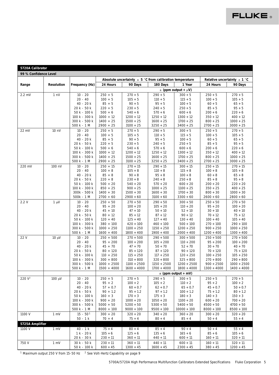### **5720A Calibrator**

**99 % Confidence Level**

| ээ % сошиенсе геуег |                   |                               |                           | Absolute uncertainty $\pm$ 5 °C from calibration temperature |                           |                              |                           | Relative uncertainty $\pm$ 1 °C |
|---------------------|-------------------|-------------------------------|---------------------------|--------------------------------------------------------------|---------------------------|------------------------------|---------------------------|---------------------------------|
| Range               | <b>Resolution</b> | <b>Frequency (Hz)</b>         | 24 Hours                  | 90 Days                                                      | 180 Days                  | 1 Year                       | 24 Hours                  | 90 Days                         |
|                     |                   |                               |                           |                                                              |                           | $\pm$ (ppm output + $\mu$ V) |                           |                                 |
|                     |                   |                               |                           |                                                              |                           |                              |                           |                                 |
| $2.2$ mV            | $1 \nN$           | $10 - 20$<br>$20 - 40$        | $250 + 5$<br>$100 + 5$    | $270 + 5$<br>$105 + 5$                                       | $290 + 5$<br>$110 + 5$    | $300 + 5$<br>$115 + 5$       | $250 + 5$<br>$100 + 5$    | $270 + 5$<br>$105 + 5$          |
|                     |                   | $40 - 20k$                    | $85 + 5$                  | $90 + 5$                                                     | $95 + 5$                  | $100 + 5$                    | $60 + 5$                  | $65 + 5$                        |
|                     |                   | 20 k - 50 k                   | $220 + 5$                 | $230 + 5$                                                    | $240 + 5$                 | $250 + 5$                    | $85 + 5$                  | $95 + 5$                        |
|                     |                   | 50 k - 100 k                  | $500 + 6$                 | $540 + 6$                                                    | $570 + 6$                 | $600 + 6$                    | $200 + 6$                 | $220 + 6$                       |
|                     |                   | $100 k - 300 k$               | $1000 + 12$               | $1200 + 12$                                                  | $1250 + 12$               | $1300 + 12$                  | $350 + 12$                | $400 + 12$                      |
|                     |                   | $300 k - 500 k$               | $1400 + 25$               | $1500 + 25$                                                  | $1600 + 25$               | $1700 + 25$                  | $800 + 25$                | $1000 + 25$                     |
|                     |                   | $500 k - 1 M$                 | $2900 + 25$               | $3100 + 25$                                                  | $3250 + 25$               | $3400 + 25$                  | $2700 + 25$               | $3000 + 25$                     |
| $22 \text{ mV}$     | 10 <sub>1</sub> V | $10 - 20$                     | $250 + 5$                 | $270 + 5$                                                    | $290 + 5$                 | $300 + 5$                    | $250 + 5$                 | $270 + 5$                       |
|                     |                   | $20 - 40$                     | $100 + 5$                 | $105 + 5$                                                    | $110 + 5$                 | $115 + 5$                    | $100 + 5$                 | $105 + 5$                       |
|                     |                   | $40 - 20k$                    | $85 + 5$                  | $90 + 5$                                                     | $95 + 5$                  | $100 + 5$                    | $60 + 5$                  | $65 + 5$                        |
|                     |                   | 20 k - 50 k                   | $220 + 5$                 | $230 + 5$                                                    | $240 + 5$                 | $250 + 5$                    | $85 + 5$                  | $95 + 5$                        |
|                     |                   | 50 k - 100 k                  | $500 + 6$                 | $540 + 6$                                                    | $570 + 6$                 | $600 + 6$                    | $200 + 6$                 | $220 + 6$                       |
|                     |                   | $100 k - 300 k$               | $1000 + 12$               | $1200 + 12$                                                  | $1250 + 12$               | $1300 + 12$                  | $350 + 12$                | $400 + 12$                      |
|                     |                   | 300 k - 500 k                 | $1400 + 25$               | $1500 + 25$                                                  | $1600 + 25$               | $1700 + 25$                  | $800 + 25$                | $1000 + 25$                     |
|                     |                   | $500 k - 1 M$                 | $2900 + 25$               | $3100 + 25$                                                  | $3250 + 25$               | $3400 + 25$                  | $2700 + 25$               | $3000 + 25$                     |
| 220 mV              | $100 \text{ nV}$  | $10 - 20$                     | $250 + 15$                | $270 + 15$                                                   | $290 + 15$                | $300 + 15$                   | $250 + 15$                | $270 + 15$                      |
|                     |                   | $20 - 40$<br>$40 - 20k$       | $100 + 8$<br>$85 + 8$     | $105 + 8$<br>$90 + 8$                                        | $110 + 8$<br>$95 + 8$     | $115 + 8$                    | $100 + 8$<br>$60 + 8$     | $105 + 8$<br>$65 + 8$           |
|                     |                   | 20 k - 50 k                   | $220 + 8$                 | $230 + 8$                                                    | $240 + 8$                 | $100 + 8$<br>$250 + 8$       | $85 + 8$                  | $95 + 8$                        |
|                     |                   | 50 k - 100 k                  | $500 + 20$                | $540 + 20$                                                   | $570 + 20$                | $600 + 20$                   | $200 + 20$                | $220 + 20$                      |
|                     |                   | $100 k - 300 k$               | $850 + 25$                | $900 + 25$                                                   | $1000 + 25$               | $1100 + 25$                  | $350 + 25$                | $400 + 25$                      |
|                     |                   | $300k - 500k$                 | $1400 + 30$               | $1500 + 30$                                                  | $1600 + 30$               | $1700 + 30$                  | $800 + 30$                | $1000 + 30$                     |
|                     |                   | $500k - 1 M$                  | $2700 + 60$               | $2900 + 60$                                                  | $3100 + 60$               | $3300 + 60$                  | $2600 + 60$               | $2800 + 60$                     |
| 2.2 V               | $1 \mu V$         | $10 - 20$                     | $250 + 50$                | $270 + 50$                                                   | $290 + 50$                | $300 + 50$                   | $250 + 50$                | $270 + 50$                      |
|                     |                   | $20 - 40$                     | $95 + 20$                 | $100 + 20$                                                   | $105 + 20$                | $110 + 20$                   | $95 + 20$                 | $100 + 20$                      |
|                     |                   | $40 - 20k$                    | $45 + 10$                 | $47 + 10$                                                    | $50 + 10$                 | $52 + 10$                    | $30 + 10$                 | $40 + 10$                       |
|                     |                   | $20 k - 50 k$                 | $80 + 12$                 | $85 + 12$                                                    | $87 + 12$                 | $90 + 12$                    | $70 + 12$                 | $75 + 12$                       |
|                     |                   | 50 k - 100 k                  | $120 + 40$                | $125 + 40$                                                   | $127 + 40$                | $130 + 40$                   | $100 + 40$                | $105 + 40$                      |
|                     |                   | $100 k - 300 k$               | $380 + 100$               | $420 + 100$                                                  | $460 + 100$               | $500 + 100$                  | $270 + 100$               | $290 + 100$                     |
|                     |                   | 300 k - 500 k                 | $1000 + 250$              | $1100 + 250$                                                 | $1150 + 250$              | $1200 + 250$                 | $900 + 250$               | $1000 + 250$                    |
|                     |                   | $500 k - 1 M$                 | $1600 + 400$              | $1800 + 400$                                                 | $1900 + 400$              | $2000 + 400$                 | $1200 + 400$              | $1300 + 400$                    |
| 22 V                | $10 \mu V$        | $10 - 20$                     | $250 + 500$               | $270 + 500$                                                  | $290 + 500$               | $300 + 500$                  | $250 + 500$               | $270 + 500$                     |
|                     |                   | $20 - 40$                     | $95 + 200$                | $100 + 200$                                                  | $105 + 200$               | $110 + 200$                  | $95 + 200$                | $100 + 200$                     |
|                     |                   | $40 - 20k$                    | $45 + 70$                 | $47 + 70$                                                    | $50 + 70$                 | $52 + 70$                    | $30 + 70$                 | $40 + 70$                       |
|                     |                   | $20 k - 50 k$<br>50 k - 100 k | $80 + 120$<br>$110 + 250$ | $85 + 120$<br>$115 + 250$                                    | $87 + 120$<br>$117 + 250$ | $90 + 120$<br>$120 + 250$    | $70 + 120$<br>$100 + 250$ | $75 + 120$<br>$105 + 250$       |
|                     |                   | $100 k - 300 k$               | $300 + 800$               | $310 + 800$                                                  | $320 + 800$               | $325 + 800$                  | $270 + 800$               | $290 + 800$                     |
|                     |                   | 300 k - 500 k                 | $1000 + 2500$             | $1100 + 2500$                                                | $1150 + 2500$             | $1200 + 2500$                | $900 + 2500$              | $1000 + 2500$                   |
|                     |                   | $500 k - 1 M$                 | $1500 + 4000$             | $1600 + 4000$                                                | $1700 + 4000$             | $1800 + 4000$                | $1300 + 4000$             | $1400 + 4000$                   |
|                     |                   |                               |                           |                                                              |                           | $\pm$ (ppm output + mV)      |                           |                                 |
| $220V^2$            | $100 \mu V$       | $10 - 20$                     | $250 + 5$                 | $270 + 5$                                                    | $290 + 5$                 | $300 + 5$                    | $250 + 5$                 | $270 + 5$                       |
|                     |                   | $20 - 40$                     | $95 + 2$                  | $100 + 2$                                                    | $105 + 2$                 | $110 + 2$                    | $95 + 2$                  | $100 + 2$                       |
|                     |                   | $40 - 20k$                    | $57 + 0.7$                | $60 + 0.7$                                                   | $62 + 0.7$                | $65 + 0.7$                   | $45 + 0.7$                | $50 + 0.7$                      |
|                     |                   | $20$ k - $50$ k               | $90 + 1.2$                | $95 + 1.2$                                                   | $97 + 1.2$                | $100 + 1.2$                  | $75 + 1.2$                | $80 + 1.2$                      |
|                     |                   | 50 k - 100 k                  | $160 + 3$                 | $170 + 3$                                                    | $175 + 3$                 | $180 + 3$                    | $140 + 3$                 | $150 + 3$                       |
|                     |                   | $100 k - 300 k$               | $900 + 20$                | $1000 + 20$                                                  | $1050 + 20$               | $1100 + 20$                  | $600 + 20$                | $700 + 20$                      |
|                     |                   | $300 k - 500 k$               | $5000 + 50$               | $5200 + 50$                                                  | $5300 + 50$               | $5400 + 50$                  | $4500 + 50$               | $4700 + 50$                     |
|                     |                   | $500 k - 1 M$                 | $8000 + 100$              | $9000 + 100$                                                 | $9500 + 100$              | $10000 + 100$                | $8000 + 100$              | $8500 + 100$                    |
| 1100 V              | $1 \text{ mV}$    | $15 - 50^1$                   | $300 + 20$                | $320 + 20$                                                   | $340 + 20$                | $360 + 20$                   | $300 + 20$                | $320 + 20$                      |
|                     |                   | $50 - 1 k$                    | $70 + 4$                  | $75 + 4$                                                     | $80 + 4$                  | $85 + 4$                     | $50 + 4$                  | $55 + 4$                        |
| 5725A Amplifier     |                   |                               |                           |                                                              |                           |                              |                           |                                 |
| 1100 V              | $1 \text{ mV}$    | $40 - 1 k$                    | $75 + 4$                  | $80 + 4$                                                     | $85 + 4$                  | $90 + 4$                     | $50 + 4$                  | $55 + 4$                        |
|                     |                   | 1 k - 20 k                    | $105 + 6$                 | $125 + 6$                                                    | $135 + 6$                 | $165 + 6$                    | $85 + 6$                  | $105 + 6$                       |
|                     |                   | 20 k - 30 k                   | $230 + 11$                | $360 + 11$                                                   | $440 + 11$                | $600 + 11$                   | $160 + 11$                | $320 + 11$                      |
| 750 V               | $1 \text{ mV}$    | 30 k - 50 k                   | $230 + 11$                | $360 + 11$                                                   | $440 + 11$                | $600 + 11$                   | $160 + 11$                | $320 + 11$                      |
|                     |                   | 50 k - 100 k                  | $600 + 45$                | $1300 + 45$                                                  | $1600 + 45$               | $2300 + 45$                  | $380 + 45$                | $1200 + 45$                     |

 $^{\rm 1}$  Maximum output 250 V from 15-50 Hz  $^{\rm -2}$  See Volt-Hertz Capability on page 9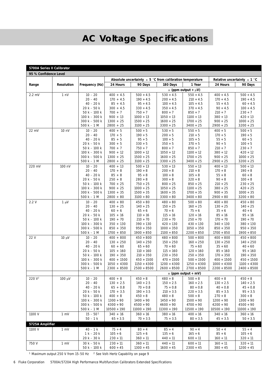# **AC Voltage Specifications**

| <b>5700A Series II Calibrator</b> |                   |                             |                           |                                                              |                           |                              |                                 |                          |
|-----------------------------------|-------------------|-----------------------------|---------------------------|--------------------------------------------------------------|---------------------------|------------------------------|---------------------------------|--------------------------|
| 95 % Confidence Level             |                   |                             |                           |                                                              |                           |                              |                                 |                          |
|                                   |                   |                             |                           | Absolute uncertainty $\pm$ 5 °C from calibration temperature |                           |                              | Relative uncertainty $\pm 1$ °C |                          |
| Range                             | <b>Resolution</b> | <b>Frequency (Hz)</b>       | 24 Hours                  | 90 Davs                                                      | 180 Days                  | 1 Year                       | 24 Hours                        | 90 Days                  |
|                                   |                   |                             |                           |                                                              |                           | $\pm$ (ppm output + $\mu$ V) |                                 |                          |
| $2.2$ mV                          | $1 \nN$           | $10 - 20$                   | $400 + 4.5$               | $500 + 4.5$                                                  | $530 + 4.5$               | $550 + 4.5$                  | $400 + 4.5$                     | $500 + 4.5$              |
|                                   |                   | $20 - 40$                   | $170 + 4.5$               | $190 + 4.5$                                                  | $200 + 4.5$               | $210 + 4.5$                  | $170 + 4.5$                     | $190 + 4.5$              |
|                                   |                   | $40 - 20k$                  | $85 + 4.5$                | $95 + 4.5$                                                   | $100 + 4.5$               | $105 + 4.5$                  | $55 + 4.5$                      | $60 + 4.5$               |
|                                   |                   | 20 k - 50 k<br>50 k - 100 k | $300 + 4.5$<br>$700 + 7$  | $330 + 4.5$<br>$750 + 7$                                     | $350 + 4.5$<br>$800 + 7$  | $370 + 4.5$<br>$850 + 7$     | $90 + 4.5$<br>$210 + 7$         | $100 + 4.5$<br>$230 + 7$ |
|                                   |                   | $100 k - 300 k$             | $900 + 13$                | $1000 + 13$                                                  | $1050 + 13$               | $1100 + 13$                  | $380 + 13$                      | $420 + 13$               |
|                                   |                   | $300 k - 500 k$             | $1300 + 25$               | $1500 + 25$                                                  | $1600 + 25$               | $1700 + 25$                  | $900 + 25$                      | $1000 + 25$              |
|                                   |                   | $500 k - 1 M$               | $2800 + 25$               | $3100 + 25$                                                  | $3300 + 25$               | $3400 + 25$                  | $2900 + 25$                     | $3200 + 25$              |
| $22 \text{ mV}$                   | 10 <sub>1</sub> V | $10 - 20$                   | $400 + 5$                 | $500 + 5$                                                    | $530 + 5$                 | $550 + 5$                    | $400 + 5$                       | $500 + 5$                |
|                                   |                   | $20 - 40$                   | $170 + 5$                 | $190 + 5$                                                    | $200 + 5$                 | $210 + 5$                    | $170 + 5$                       | $190 + 5$                |
|                                   |                   | $40 - 20k$                  | $85 + 5$                  | $95 + 5$                                                     | $100 + 5$                 | $105 + 5$                    | $55 + 5$                        | $60 + 5$                 |
|                                   |                   | 20 k - 50 k                 | $300 + 5$                 | $330 + 5$                                                    | $350 + 5$                 | $370 + 5$                    | $90 + 5$                        | $100 + 5$                |
|                                   |                   | 50 k - 100 k                | $700 + 7$                 | $750 + 7$                                                    | $800 + 7$                 | $850 + 7$                    | $210 + 7$                       | $230 + 7$                |
|                                   |                   | $100 k - 300 k$             | $900 + 12$                | $1000 + 12$                                                  | $1050 + 12$               | $1100 + 12$                  | $380 + 12$                      | $420 + 12$               |
|                                   |                   | $300 k - 500 k$             | $1300 + 25$               | $1500 + 25$                                                  | $1600 + 25$               | $1700 + 25$                  | $900 + 25$                      | $1000 + 25$              |
|                                   |                   | $500 k - 1 M$               | $2800 + 25$               | $3100 + 25$                                                  | $3300 + 25$               | $3400 + 25$                  | $2900 + 25$                     | $3200 + 25$              |
| 220 mV                            | $100 \text{ nV}$  | $10 - 20$                   | $400 + 13$                | $500 + 13$                                                   | $530 + 13$                | $550 + 13$                   | $400 + 13$                      | $500 + 13$               |
|                                   |                   | $20 - 40$                   | $170 + 8$                 | $190 + 8$                                                    | $200 + 8$                 | $210 + 8$                    | $170 + 8$                       | $190 + 8$                |
|                                   |                   | $40 - 20k$                  | $85 + 8$                  | $95 + 8$                                                     | $100 + 8$                 | $105 + 8$                    | $55 + 8$                        | $60 + 8$                 |
|                                   |                   | $20 k - 50 k$               | $250 + 8$                 | $280 + 8$                                                    | $300 + 8$                 | $320 + 8$                    | $90 + 8$                        | $100 + 8$                |
|                                   |                   | 50 k - 100 k                | $700 + 25$                | $750 + 25$                                                   | $800 + 25$                | $850 + 25$                   | $210 + 25$                      | $230 + 25$               |
|                                   |                   | $100 k - 300 k$             | $900 + 25$                | $1000 + 25$                                                  | $1050 + 25$               | $1100 + 25$                  | $380 + 25$                      | $420 + 25$               |
|                                   |                   | $300 k - 500 k$             | $1300 + 35$               | $1500 + 35$                                                  | $1600 + 35$               | $1700 + 35$                  | $900 + 35$                      | $1000 + 35$              |
|                                   |                   | $500 k - 1 M$               | $2800 + 80$               | $3100 + 80$                                                  | $3300 + 80$               | $3400 + 80$                  | $2900 + 80$                     | $3200 + 80$              |
| 2.2V                              | $1 \mu V$         | $10 - 20$                   | $400 + 80$                | $450 + 80$<br>$140 + 25$                                     | $480 + 80$                | $500 + 80$                   | $400 + 80$                      | $450 + 80$               |
|                                   |                   | $20 - 40$<br>$40 - 20k$     | $130 + 25$<br>$60 + 6$    | $65 + 6$                                                     | $150 + 25$<br>$70 + 6$    | $160 + 25$<br>$75 + 6$       | $130 + 25$<br>$35 + 6$          | $140 + 25$<br>$40 + 6$   |
|                                   |                   | 20 k - 50 k                 | $105 + 16$                | $110 + 16$                                                   | $115 + 16$                | $120 + 16$                   | $85 + 16$                       | $95 + 16$                |
|                                   |                   | 50 k - 100 k                | $190 + 70$                | $210 + 70$                                                   | $230 + 70$                | $250 + 70$                   | $170 + 70$                      | $190 + 70$               |
|                                   |                   | $100 k - 300 k$             | $350 + 130$               | $390 + 130$                                                  | $420 + 130$               | $430 + 130$                  | $340 + 130$                     | $380 + 130$              |
|                                   |                   | $300 k - 500 k$             | $850 + 350$               | $950 + 350$                                                  | $1000 + 350$              | $1050 + 350$                 | $850 + 350$                     | $950 + 350$              |
|                                   |                   | $500 k - 1 M$               | $1700 + 850$              | $1900 + 850$                                                 | $2100 + 850$              | $2200 + 850$                 | $1700 + 850$                    | $1900 + 850$             |
| 22 V                              | $10 \mu V$        | $10 - 20$                   | $400 + 800$               | $450 + 800$                                                  | $480 + 800$               | $500 + 800$                  | $400 + 800$                     | $450 + 800$              |
|                                   |                   | $20 - 40$                   | $130 + 250$               | $140 + 250$                                                  | $150 + 250$               | $160 + 250$                  | $130 + 250$                     | $140 + 250$              |
|                                   |                   | $40 - 20k$                  | $60 + 60$                 | $65 + 60$                                                    | $70 + 60$                 | $75 + 60$                    | $35 + 60$                       | $40 + 60$                |
|                                   |                   | 20 k - 50 k                 | $105 + 160$               | $110 + 160$                                                  | $115 + 160$               | $120 + 160$                  | $85 + 160$                      | $95 + 160$               |
|                                   |                   | 50 k - 100 k                | $190 + 350$               | $210 + 350$                                                  | $230 + 350$               | $250 + 350$                  | $170 + 350$                     | $190 + 350$              |
|                                   |                   | $100 k - 300 k$             | $400 + 1500$              | $450 + 1500$                                                 | $470 + 1500$              | $500 + 1500$                 | $400 + 1500$                    | $450 + 1500$             |
|                                   |                   | $300 k - 500 k$             | $1050 + 4300$             | $1150 + 4300$                                                | $1200 + 4300$             | $1250 + 4300$                | $1000 + 4300$                   | $1100 + 4300$            |
|                                   |                   | $500 k - 1 M$               | $2300 + 8500$             | $2500 + 8500$                                                | $2600 + 8500$             | $2700 + 8500$                | $2200 + 8500$                   | $2400 + 8500$            |
|                                   |                   |                             |                           |                                                              |                           | $\pm$ (ppm output + mV)      |                                 |                          |
| 220 V <sup>2</sup>                | $100 \mu V$       | $10 - 20$                   | $400 + 8$                 | $450 + 8$                                                    | $480 + 8$                 | $500 + 8$                    | $400 + 8$                       | $450 + 8$                |
|                                   |                   | $20 - 40$                   | $130 + 2.5$               | $140 + 2.5$<br>$70 + 0.8$                                    | $150 + 2.5$               | $160 + 2.5$<br>$80 + 0.8$    | $130 + 2.5$<br>$40 + 0.8$       | $140 + 2.5$              |
|                                   |                   | $40 - 20k$<br>20 k - 50 k   | $65 + 0.8$<br>$170 + 3.5$ | $190 + 3.5$                                                  | $75 + 0.8$<br>$210 + 3.5$ | $220 + 3.5$                  | $85 + 3.5$                      | $45 + 0.8$<br>$95 + 3.5$ |
|                                   |                   | $50k - 100k$                | $400 + 8$                 | $450 + 8$                                                    | $480 + 8$                 | $500 + 8$                    | $270 + 8$                       | $300 + 8$                |
|                                   |                   | $100 k - 300 k$             | $1300 + 90$               | $1400 + 90$                                                  | $1450 + 90$               | $1500 + 90$                  | $1200 + 90$                     | $1300 + 90$              |
|                                   |                   | 300 k - 500 k               | $4300 + 90$               | $4500 + 90$                                                  | $4600 + 90$               | $4700 + 90$                  | $4200 + 90$                     | $4500 + 90$              |
|                                   |                   | 500 k - 1 M                 | $10500 + 190$             | $11000 + 190$                                                | $11300 + 190$             | $11500 + 190$                | $10500 + 190$                   | $11000 + 190$            |
| 1100 V                            | $1 \, \text{mV}$  | $15 - 50^1$                 | $340 + 16$                | $360 + 16$                                                   | $380 + 16$                | $400 + 16$                   | $340 + 16$                      | $360 + 16$               |
|                                   |                   | $50 - 1 k$                  | $65 + 3.5$                | $70 + 3.5$                                                   | $75 + 3.5$                | $80 + 3.5$                   | $45 + 3.5$                      | $50 + 3.5$               |
| 5725A Amplifier                   |                   |                             |                           |                                                              |                           |                              |                                 |                          |
| 1100 V                            | $1 \text{ mV}$    | $40 - 1 k$                  | $75 + 4$                  | $80 + 4$                                                     | $85 + 4$                  | $90 + 4$                     | $50 + 4$                        | $55 + 4$                 |
|                                   |                   | 1 k - 20 k                  | $105 + 6$                 | $125 + 6$                                                    | $135 + 6$                 | $165 + 6$                    | $85 + 6$                        | $105 + 6$                |
|                                   |                   | 20 k - 30 k                 | $230 + 11$                | $360 + 11$                                                   | $440 + 11$                | $600 + 11$                   | $160 + 11$                      | $320 + 11$               |
| 750 V                             | $1 \, \text{mV}$  | 30 k - 50 k                 | $230 + 11$                | $360 + 11$                                                   | $440 + 11$                | $600 + 11$                   | $160 + 11$                      | $320 + 11$               |
|                                   |                   | 50 k - 100 k                | $600 + 45$                | $1300 + 45$                                                  | $1600 + 45$               | $2300 + 45$                  | $380 + 45$                      | $1200 + 45$              |

<sup>1</sup> Maximum output 250 V from 15-50 Hz  $\,$  <sup>2</sup> See Volt-Hertz Capability on page 9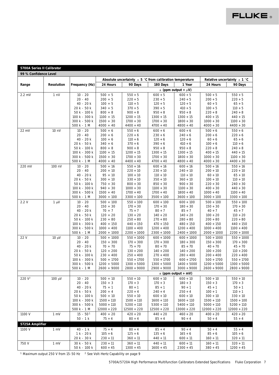### **5700A Series II Calibrator**

**99 % Confidence Level**

| <b><i>JJ 70 COMMUCHUE LEVEL</i></b> |                   |                                  |                               | Absolute uncertainty $\pm$ 5 °C from calibration temperature |                               |                               |                               | Relative uncertainty $\pm 1$ °C |  |
|-------------------------------------|-------------------|----------------------------------|-------------------------------|--------------------------------------------------------------|-------------------------------|-------------------------------|-------------------------------|---------------------------------|--|
| Range                               | <b>Resolution</b> | <b>Frequency (Hz)</b>            | 24 Hours                      | 90 Days                                                      | 180 Days                      | 1 Year                        | 24 Hours                      | 90 Days                         |  |
|                                     |                   |                                  |                               |                                                              |                               | $\pm$ (ppm output + $\mu$ V)  |                               |                                 |  |
| $2.2$ mV                            | $1 \nN$           | $10 - 20$                        | $500 + 5$                     | $550 + 5$                                                    | $600 + 5$                     | $600 + 5$                     | $500 + 5$                     | $550 + 5$                       |  |
|                                     |                   | $20 - 40$                        | $200 + 5$                     | $220 + 5$                                                    | $230 + 5$                     | $240 + 5$                     | $200 + 5$                     | $220 + 5$                       |  |
|                                     |                   | $40 - 20k$                       | $100 + 5$                     | $110 + 5$                                                    | $120 + 5$                     | $120 + 5$                     | $60 + 5$                      | $65 + 5$                        |  |
|                                     |                   | $20 k - 50 k$                    | $340 + 5$                     | $370 + 5$                                                    | $390 + 5$                     | $410 + 5$                     | $100 + 5$                     | $110 + 5$                       |  |
|                                     |                   | 50 k - 100 k                     | $800 + 8$                     | $900 + 8$                                                    | $950 + 8$                     | $950 + 8$                     | $220 + 8$                     | $240 + 8$                       |  |
|                                     |                   | $100 k - 300 k$                  | $1100 + 15$                   | $1200 + 15$                                                  | $1300 + 15$                   | $1300 + 15$                   | $400 + 15$                    | $440 + 15$                      |  |
|                                     |                   | 300 k - 500 k                    | $1500 + 30$                   | $1700 + 30$                                                  | $1700 + 30$                   | $1800 + 30$                   | $1000 + 30$                   | $1100 + 30$                     |  |
|                                     |                   | 500 k - 1 M                      | $4000 + 40$                   | $4400 + 40$                                                  | $4700 + 40$                   | $4800 + 40$                   | $4000 + 30$                   | $4400 + 30$                     |  |
| $22 \text{ mV}$                     | 10 <sub>1</sub>   | $10 - 20$<br>$20 - 40$           | $500 + 6$<br>$200 + 6$        | $550 + 6$<br>$220 + 6$                                       | $600 + 6$<br>$230 + 6$        | $600 + 6$<br>$240 + 6$        | $500 + 6$<br>$200 + 6$        | $550 + 6$<br>$220 + 6$          |  |
|                                     |                   | $40 - 20k$                       | $100 + 6$                     | $110 + 6$                                                    | $120 + 6$                     | $120 + 6$                     | $60 + 6$                      | $65 + 6$                        |  |
|                                     |                   | $20 k - 50 k$                    | $340 + 6$                     | $370 + 6$                                                    | $390 + 6$                     | $410 + 6$                     | $100 + 6$                     | $110 + 6$                       |  |
|                                     |                   | $50 k - 100 k$                   | $800 + 8$                     | $900 + 8$                                                    | $950 + 8$                     | $950 + 8$                     | $220 + 8$                     | $240 + 8$                       |  |
|                                     |                   | $100 k - 300 k$                  | $1100 + 15$                   | $1200 + 15$                                                  | $1300 + 15$                   | $1300 + 15$                   | $400 + 15$                    | $440 + 15$                      |  |
|                                     |                   | 300 k - 500 k                    | $1500 + 30$                   | $1700 + 30$                                                  | $1700 + 30$                   | $1800 + 30$                   | $1000 + 30$                   | $1100 + 30$                     |  |
|                                     |                   | 500 k - 1 M                      | $4000 + 40$                   | $4400 + 40$                                                  | $4700 + 40$                   | $4800 + 40$                   | $4000 + 30$                   | $4400 + 30$                     |  |
| 220 mV                              | $100 \text{ nV}$  | $10 - 20$                        | $500 + 16$                    | $550 + 16$                                                   | $600 + 16$                    | $600 + 16$                    | $500 + 16$                    | $550 + 16$                      |  |
|                                     |                   | $20 - 40$                        | $200 + 10$                    | $220 + 10$                                                   | $230 + 10$                    | $240 + 10$                    | $200 + 10$                    | $220 + 10$                      |  |
|                                     |                   | $40 - 20k$                       | $95 + 10$                     | $100 + 10$                                                   | $110 + 10$                    | $110 + 10$                    | $60 + 10$                     | $65 + 10$                       |  |
|                                     |                   | $20 k - 50 k$                    | $300 + 10$                    | $330 + 10$                                                   | $350 + 10$                    | $360 + 10$                    | $100 + 10$                    | $110 + 10$                      |  |
|                                     |                   | 50 k - 100 k                     | $750 + 30$                    | $800 + 30$                                                   | $850 + 30$                    | $900 + 30$                    | $220 + 30$                    | $240 + 30$                      |  |
|                                     |                   | $100 k - 300 k$                  | $940 + 30$                    | $1000 + 30$                                                  | $1100 + 30$                   | $1100 + 30$                   | $400 + 30$                    | $440 + 30$                      |  |
|                                     |                   | 300 k - 500 k                    | $1500 + 40$<br>$3000 + 100$   | $1700 + 40$                                                  | $1700 + 40$                   | $1800 + 40$<br>$3600 + 100$   | $1000 + 40$<br>$3000 + 100$   | $1100 + 40$<br>$3300 + 100$     |  |
|                                     |                   | 500 k - 1 M                      |                               | $3300 + 100$                                                 | $3500 + 100$                  |                               |                               |                                 |  |
| 2.2 V                               | $1 \mu V$         | $10 - 20$<br>$20 - 40$           | $500 + 100$                   | $550 + 100$                                                  | $600 + 100$                   | $600 + 100$                   | $500 + 100$                   | $550 + 100$                     |  |
|                                     |                   | $40 - 20k$                       | $150 + 30$<br>$70 + 7$        | $170 + 30$<br>$75 + 7$                                       | $170 + 30$<br>$80 + 7$        | $180 + 30$<br>$85 + 7$        | $150 + 30$<br>$40 + 7$        | $170 + 30$<br>$45 + 7$          |  |
|                                     |                   | $20 k - 50 k$                    | $120 + 20$                    | $130 + 20$                                                   | $140 + 20$                    | $140 + 20$                    | $100 + 20$                    | $110 + 20$                      |  |
|                                     |                   | 50 k - 100 k                     | $230 + 80$                    | $250 + 80$                                                   | $270 + 80$                    | $280 + 80$                    | $200 + 80$                    | $220 + 80$                      |  |
|                                     |                   | $100 k - 300 k$                  | $400 + 150$                   | $440 + 150$                                                  | $470 + 150$                   | $480 + 150$                   | $400 + 150$                   | $440 + 150$                     |  |
|                                     |                   | 300 k - 500 k                    | $1000 + 400$                  | $1100 + 400$                                                 | $1200 + 400$                  | $1200 + 400$                  | $1000 + 400$                  | $1100 + 400$                    |  |
|                                     |                   | $500 k - 1 M$                    | $2000 + 1000$                 | $2200 + 1000$                                                | $2300 + 1000$                 | $2400 + 1000$                 | $2000 + 1000$                 | $2200 + 1000$                   |  |
| 22 V                                | $10 \mu V$        | $10 - 20$                        | $500 + 1000$                  | $550 + 1000$                                                 | $600 + 1000$                  | $600 + 1000$                  | $500 + 1000$                  | $550 + 1000$                    |  |
|                                     |                   | $20 - 40$                        | $150 + 300$                   | $170 + 300$                                                  | $170 + 300$                   | $180 + 300$                   | $150 + 300$                   | $170 + 300$                     |  |
|                                     |                   | $40 - 20k$                       | $70 + 70$                     | $75 + 70$                                                    | $80 + 70$                     | $85 + 70$                     | $40 + 70$                     | $45 + 70$                       |  |
|                                     |                   | $20 k - 50 k$                    | $120 + 200$                   | $130 + 200$                                                  | $140 + 200$                   | $140 + 200$                   | $100 + 200$                   | $110 + 200$                     |  |
|                                     |                   | 50 k - 100 k                     | $230 + 400$                   | $250 + 400$                                                  | $270 + 400$                   | $280 + 400$                   | $200 + 400$                   | $220 + 400$                     |  |
|                                     |                   | $100 k - 300 k$<br>300 k - 500 k | $500 + 1700$<br>$1200 + 5000$ | $550 + 1700$<br>$1300 + 5000$                                | $550 + 1700$<br>$1300 + 5000$ | $600 + 1700$<br>$1400 + 5000$ | $500 + 1700$<br>$1200 + 5000$ | $550 + 1700$<br>$1300 + 5000$   |  |
|                                     |                   | $500 k - 1 M$                    | $2600 + 9000$                 | $2800 + 9000$                                                | $2900 + 9000$                 | $3000 + 9000$                 | $2600 + 9000$                 | $2800 + 9000$                   |  |
|                                     |                   |                                  |                               |                                                              |                               | $\pm$ (ppm output + mV)       |                               |                                 |  |
| 220 V <sup>2</sup>                  | $100 \mu V$       | $10 - 20$                        | $500 + 10$                    | $550 + 10$                                                   | $600 + 10$                    | $600 + 10$                    | $500 + 10$                    | $550 + 10$                      |  |
|                                     |                   | $20 - 40$                        | $150 + 3$                     | $170 + 3$                                                    | $170 + 3$                     | $180 + 3$                     | $150 + 3$                     | $170 + 3$                       |  |
|                                     |                   | $40 - 20k$                       | $75 + 1$                      | $80 + 1$                                                     | $85 + 1$                      | $90 + 1$                      | $45 + 1$                      | $50 + 1$                        |  |
|                                     |                   | $20 k - 50 k$                    | $200 + 4$                     | $220 + 4$                                                    | $240 + 4$                     | $250 + 4$                     | $100 + 1$                     | $110 + 1$                       |  |
|                                     |                   | $50 k - 100 k$                   | $500 + 10$                    | $550 + 10$                                                   | $600 + 10$                    | $600 + 10$                    | $300 + 10$                    | $330 + 10$                      |  |
|                                     |                   | $100 k - 300 k$                  | $1500 + 110$                  | $1500 + 110$                                                 | $1600 + 110$                  | $1600 + 110$                  | $1500 + 110$                  | $1500 + 100$                    |  |
|                                     |                   | 300 k - 500 k                    | $5000 + 110$                  | $5200 + 110$                                                 | $5300 + 110$                  | $5400 + 110$                  | $5000 + 110$                  | $5200 + 110$                    |  |
|                                     |                   | 500 k - 1 M                      | $12000 + 220$                 | $12500 + 220$                                                | $12500 + 220$                 | $13000 + 220$                 | $12000 + 220$                 | $12000 + 220$                   |  |
| 1100 V                              | $1 \text{ mV}$    | $15 - 50^1$                      | $400 + 20$                    | $420 + 20$                                                   | $440 + 20$                    | $460 + 20$                    | $400 + 20$                    | $420 + 20$                      |  |
|                                     |                   | $50 - 1 k$                       | $75 + 4$                      | $80 + 4$                                                     | $85 + 4$                      | $90 + 4$                      | $50 + 4$                      | $55 + 4$                        |  |
| 5725A Amplifier                     |                   |                                  |                               |                                                              |                               |                               |                               |                                 |  |
| 1100 V                              | $1 \text{ mV}$    | $40 - 1 k$                       | $75 + 4$                      | $80 + 4$                                                     | $85 + 4$                      | $90 + 4$                      | $50 + 4$                      | $55 + 4$                        |  |
|                                     |                   | 1 k - 20 k                       | $105 + 6$                     | $125 + 6$                                                    | $135 + 6$                     | $165 + 6$                     | $85 + 6$                      | $105 + 6$                       |  |
|                                     |                   | 20 k - 30 k                      | $230 + 11$                    | $360 + 11$                                                   | $440 + 11$                    | $600 + 11$                    | $160 + 11$                    | $320 + 11$                      |  |
| 750 V                               | $1 \text{ mV}$    | $30k - 50k$                      | $230 + 11$                    | $360 + 11$                                                   | $440 + 11$                    | $600 + 11$                    | $160 + 11$                    | $320 + 11$                      |  |
|                                     |                   | $50 k - 100 k$                   | $600 + 45$                    | $1300 + 45$                                                  | $1600 + 45$                   | $2300 + 45$                   | $380 + 45$                    | $1200 + 45$                     |  |

<sup>1</sup> Maximum output 250 V from 15-50 Hz  $\,$  <sup>2</sup> See Volt-Hertz Capability on page 9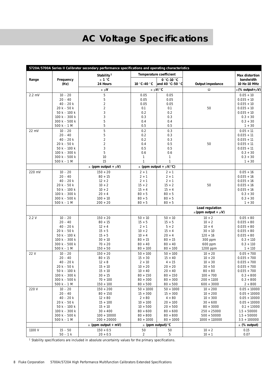# **AC Voltage Specifications**

| <b>Temperature coefficient</b><br>Stability <sup>1</sup><br>Max distortion<br>$\pm 1$ °C<br>bandwidth<br>Range<br><b>Frequency</b><br>$0 °C-10 °C$<br>24 Hours<br>$10^{\circ}$ C-40 $^{\circ}$ C<br>and 40 °C-50 °C<br>(Hz)<br><b>Output impedance</b><br><b>10 Hz-10 MHz</b><br>$\pm \mu V$<br>$\pm \mu V$ <sup>o</sup> C<br>$\Omega$<br>$\pm$ (% output+µV)<br>$10 - 20$<br>$\,$ 5<br>0.05<br>0.05<br>$0.05 + 10$<br>$2.2 \text{ mV}$<br>$20 - 40$<br>$\mathbf 5$<br>0.05<br>0.05<br>$0.035 + 10$<br>$\boldsymbol{2}$<br>$40 - 20k$<br>0.05<br>0.05<br>$0.035 + 10$<br>$\boldsymbol{2}$<br>$20k - 50k$<br>0.1<br>0.1<br>50<br>$0.035 + 10$<br>$\,3$<br>0.2<br>0.2<br>50 k - 100 k<br>$0.035 + 10$<br>3<br>0.3<br>0.3<br>$100 k - 300 k$<br>$0.3 + 30$<br>$\mathbf 5$<br>0.4<br>0.4<br>$300 k - 500 k$<br>$0.3 + 30$<br>$\overline{5}$<br>0.5<br>0.5<br>$500 k - 1 M$<br>$1 + 30$<br>$\overline{5}$<br>0.2<br>0.3<br>$10 - 20$<br>$0.05 + 11$<br>$22 \text{ mV}$<br>$20 - 40$<br>$\mathbf 5$<br>0.2<br>0.3<br>$0.035 + 11$<br>$\sqrt{2}$<br>0.2<br>0.3<br>$40 - 20k$<br>$0.035 + 11$<br>$\boldsymbol{2}$<br>0.4<br>0.5<br>50<br>20 k - 50 k<br>$0.035 + 11$<br>3<br>0.5<br>0.5<br>50 k - 100 k<br>$0.035 + 11$<br>$\overline{5}$<br>0.6<br>0.6<br>$100 k - 300 k$<br>$0.3 + 30$<br>10<br>$300 k - 500 k$<br>$\mathbf{1}$<br>$\mathbf{1}$<br>$0.3 + 30$<br>$\mathbf{1}$<br>$500 k - 1 M$<br>15<br>$\mathbf{1}$<br>$1 + 30$<br>$\pm$ (ppm output + $\mu$ V/°C)<br>$\pm$ (ppm output + $\mu$ V)<br>$10 - 20$<br>220 mV<br>$150 + 20$<br>$2 + 1$<br>$2 + 1$<br>$0.05 + 16$<br>$20 - 40$<br>$80 + 15$<br>$2 + 1$<br>$2 + 1$<br>$0.035 + 16$<br>$40 - 20k$<br>$12 + 2$<br>$2 + 1$<br>$2 + 1$<br>$0.035 + 16$<br>$10 + 2$<br>50<br>$0.035 + 16$<br>20 k - 50 k<br>$15 + 2$<br>$15 + 2$<br>$10 + 2$<br>$0.035 + 16$<br>50 k - 100 k<br>$15 + 4$<br>$15 + 4$ |               |
|------------------------------------------------------------------------------------------------------------------------------------------------------------------------------------------------------------------------------------------------------------------------------------------------------------------------------------------------------------------------------------------------------------------------------------------------------------------------------------------------------------------------------------------------------------------------------------------------------------------------------------------------------------------------------------------------------------------------------------------------------------------------------------------------------------------------------------------------------------------------------------------------------------------------------------------------------------------------------------------------------------------------------------------------------------------------------------------------------------------------------------------------------------------------------------------------------------------------------------------------------------------------------------------------------------------------------------------------------------------------------------------------------------------------------------------------------------------------------------------------------------------------------------------------------------------------------------------------------------------------------------------------------------------------------------------------------------------------------------------------------------------------------------------------------------------------------------------------------|---------------|
|                                                                                                                                                                                                                                                                                                                                                                                                                                                                                                                                                                                                                                                                                                                                                                                                                                                                                                                                                                                                                                                                                                                                                                                                                                                                                                                                                                                                                                                                                                                                                                                                                                                                                                                                                                                                                                                      |               |
|                                                                                                                                                                                                                                                                                                                                                                                                                                                                                                                                                                                                                                                                                                                                                                                                                                                                                                                                                                                                                                                                                                                                                                                                                                                                                                                                                                                                                                                                                                                                                                                                                                                                                                                                                                                                                                                      |               |
|                                                                                                                                                                                                                                                                                                                                                                                                                                                                                                                                                                                                                                                                                                                                                                                                                                                                                                                                                                                                                                                                                                                                                                                                                                                                                                                                                                                                                                                                                                                                                                                                                                                                                                                                                                                                                                                      |               |
|                                                                                                                                                                                                                                                                                                                                                                                                                                                                                                                                                                                                                                                                                                                                                                                                                                                                                                                                                                                                                                                                                                                                                                                                                                                                                                                                                                                                                                                                                                                                                                                                                                                                                                                                                                                                                                                      |               |
|                                                                                                                                                                                                                                                                                                                                                                                                                                                                                                                                                                                                                                                                                                                                                                                                                                                                                                                                                                                                                                                                                                                                                                                                                                                                                                                                                                                                                                                                                                                                                                                                                                                                                                                                                                                                                                                      |               |
|                                                                                                                                                                                                                                                                                                                                                                                                                                                                                                                                                                                                                                                                                                                                                                                                                                                                                                                                                                                                                                                                                                                                                                                                                                                                                                                                                                                                                                                                                                                                                                                                                                                                                                                                                                                                                                                      |               |
|                                                                                                                                                                                                                                                                                                                                                                                                                                                                                                                                                                                                                                                                                                                                                                                                                                                                                                                                                                                                                                                                                                                                                                                                                                                                                                                                                                                                                                                                                                                                                                                                                                                                                                                                                                                                                                                      |               |
|                                                                                                                                                                                                                                                                                                                                                                                                                                                                                                                                                                                                                                                                                                                                                                                                                                                                                                                                                                                                                                                                                                                                                                                                                                                                                                                                                                                                                                                                                                                                                                                                                                                                                                                                                                                                                                                      |               |
|                                                                                                                                                                                                                                                                                                                                                                                                                                                                                                                                                                                                                                                                                                                                                                                                                                                                                                                                                                                                                                                                                                                                                                                                                                                                                                                                                                                                                                                                                                                                                                                                                                                                                                                                                                                                                                                      |               |
|                                                                                                                                                                                                                                                                                                                                                                                                                                                                                                                                                                                                                                                                                                                                                                                                                                                                                                                                                                                                                                                                                                                                                                                                                                                                                                                                                                                                                                                                                                                                                                                                                                                                                                                                                                                                                                                      |               |
|                                                                                                                                                                                                                                                                                                                                                                                                                                                                                                                                                                                                                                                                                                                                                                                                                                                                                                                                                                                                                                                                                                                                                                                                                                                                                                                                                                                                                                                                                                                                                                                                                                                                                                                                                                                                                                                      |               |
|                                                                                                                                                                                                                                                                                                                                                                                                                                                                                                                                                                                                                                                                                                                                                                                                                                                                                                                                                                                                                                                                                                                                                                                                                                                                                                                                                                                                                                                                                                                                                                                                                                                                                                                                                                                                                                                      |               |
|                                                                                                                                                                                                                                                                                                                                                                                                                                                                                                                                                                                                                                                                                                                                                                                                                                                                                                                                                                                                                                                                                                                                                                                                                                                                                                                                                                                                                                                                                                                                                                                                                                                                                                                                                                                                                                                      |               |
|                                                                                                                                                                                                                                                                                                                                                                                                                                                                                                                                                                                                                                                                                                                                                                                                                                                                                                                                                                                                                                                                                                                                                                                                                                                                                                                                                                                                                                                                                                                                                                                                                                                                                                                                                                                                                                                      |               |
|                                                                                                                                                                                                                                                                                                                                                                                                                                                                                                                                                                                                                                                                                                                                                                                                                                                                                                                                                                                                                                                                                                                                                                                                                                                                                                                                                                                                                                                                                                                                                                                                                                                                                                                                                                                                                                                      |               |
|                                                                                                                                                                                                                                                                                                                                                                                                                                                                                                                                                                                                                                                                                                                                                                                                                                                                                                                                                                                                                                                                                                                                                                                                                                                                                                                                                                                                                                                                                                                                                                                                                                                                                                                                                                                                                                                      |               |
|                                                                                                                                                                                                                                                                                                                                                                                                                                                                                                                                                                                                                                                                                                                                                                                                                                                                                                                                                                                                                                                                                                                                                                                                                                                                                                                                                                                                                                                                                                                                                                                                                                                                                                                                                                                                                                                      |               |
|                                                                                                                                                                                                                                                                                                                                                                                                                                                                                                                                                                                                                                                                                                                                                                                                                                                                                                                                                                                                                                                                                                                                                                                                                                                                                                                                                                                                                                                                                                                                                                                                                                                                                                                                                                                                                                                      |               |
|                                                                                                                                                                                                                                                                                                                                                                                                                                                                                                                                                                                                                                                                                                                                                                                                                                                                                                                                                                                                                                                                                                                                                                                                                                                                                                                                                                                                                                                                                                                                                                                                                                                                                                                                                                                                                                                      |               |
|                                                                                                                                                                                                                                                                                                                                                                                                                                                                                                                                                                                                                                                                                                                                                                                                                                                                                                                                                                                                                                                                                                                                                                                                                                                                                                                                                                                                                                                                                                                                                                                                                                                                                                                                                                                                                                                      |               |
|                                                                                                                                                                                                                                                                                                                                                                                                                                                                                                                                                                                                                                                                                                                                                                                                                                                                                                                                                                                                                                                                                                                                                                                                                                                                                                                                                                                                                                                                                                                                                                                                                                                                                                                                                                                                                                                      |               |
|                                                                                                                                                                                                                                                                                                                                                                                                                                                                                                                                                                                                                                                                                                                                                                                                                                                                                                                                                                                                                                                                                                                                                                                                                                                                                                                                                                                                                                                                                                                                                                                                                                                                                                                                                                                                                                                      |               |
|                                                                                                                                                                                                                                                                                                                                                                                                                                                                                                                                                                                                                                                                                                                                                                                                                                                                                                                                                                                                                                                                                                                                                                                                                                                                                                                                                                                                                                                                                                                                                                                                                                                                                                                                                                                                                                                      |               |
|                                                                                                                                                                                                                                                                                                                                                                                                                                                                                                                                                                                                                                                                                                                                                                                                                                                                                                                                                                                                                                                                                                                                                                                                                                                                                                                                                                                                                                                                                                                                                                                                                                                                                                                                                                                                                                                      |               |
|                                                                                                                                                                                                                                                                                                                                                                                                                                                                                                                                                                                                                                                                                                                                                                                                                                                                                                                                                                                                                                                                                                                                                                                                                                                                                                                                                                                                                                                                                                                                                                                                                                                                                                                                                                                                                                                      |               |
|                                                                                                                                                                                                                                                                                                                                                                                                                                                                                                                                                                                                                                                                                                                                                                                                                                                                                                                                                                                                                                                                                                                                                                                                                                                                                                                                                                                                                                                                                                                                                                                                                                                                                                                                                                                                                                                      |               |
| $20 + 4$<br>$100 k - 300 k$<br>$80 + 5$<br>$80 + 5$<br>$0.3 + 30$                                                                                                                                                                                                                                                                                                                                                                                                                                                                                                                                                                                                                                                                                                                                                                                                                                                                                                                                                                                                                                                                                                                                                                                                                                                                                                                                                                                                                                                                                                                                                                                                                                                                                                                                                                                    |               |
| $100 + 10$<br>$300 k - 500 k$<br>$80 + 5$<br>$80 + 5$<br>$0.3 + 30$                                                                                                                                                                                                                                                                                                                                                                                                                                                                                                                                                                                                                                                                                                                                                                                                                                                                                                                                                                                                                                                                                                                                                                                                                                                                                                                                                                                                                                                                                                                                                                                                                                                                                                                                                                                  |               |
| $500 k - 1 M$<br>$200 + 20$<br>$80 + 5$<br>$80 + 5$<br>$1 + 30$                                                                                                                                                                                                                                                                                                                                                                                                                                                                                                                                                                                                                                                                                                                                                                                                                                                                                                                                                                                                                                                                                                                                                                                                                                                                                                                                                                                                                                                                                                                                                                                                                                                                                                                                                                                      |               |
| <b>Load regulation</b>                                                                                                                                                                                                                                                                                                                                                                                                                                                                                                                                                                                                                                                                                                                                                                                                                                                                                                                                                                                                                                                                                                                                                                                                                                                                                                                                                                                                                                                                                                                                                                                                                                                                                                                                                                                                                               |               |
| $\pm$ (ppm output + $\mu$ V)                                                                                                                                                                                                                                                                                                                                                                                                                                                                                                                                                                                                                                                                                                                                                                                                                                                                                                                                                                                                                                                                                                                                                                                                                                                                                                                                                                                                                                                                                                                                                                                                                                                                                                                                                                                                                         |               |
| $10 - 20$<br>2.2 V<br>$150 + 20$<br>$50 + 10$<br>$10 + 2$<br>$0.05 + 80$<br>$50 + 10$                                                                                                                                                                                                                                                                                                                                                                                                                                                                                                                                                                                                                                                                                                                                                                                                                                                                                                                                                                                                                                                                                                                                                                                                                                                                                                                                                                                                                                                                                                                                                                                                                                                                                                                                                                |               |
| $20 - 40$<br>$80 + 15$<br>$15 + 5$<br>$10 + 2$<br>$15 + 5$<br>$0.035 + 80$                                                                                                                                                                                                                                                                                                                                                                                                                                                                                                                                                                                                                                                                                                                                                                                                                                                                                                                                                                                                                                                                                                                                                                                                                                                                                                                                                                                                                                                                                                                                                                                                                                                                                                                                                                           |               |
| $12 + 4$<br>$5 + 2$<br>$10 + 4$<br>$40 - 20k$<br>$2 + 1$<br>$0.035 + 80$                                                                                                                                                                                                                                                                                                                                                                                                                                                                                                                                                                                                                                                                                                                                                                                                                                                                                                                                                                                                                                                                                                                                                                                                                                                                                                                                                                                                                                                                                                                                                                                                                                                                                                                                                                             |               |
| $30 + 10$<br>20 k - 50 k<br>$15 + 5$<br>$10 + 2$<br>$15 + 4$<br>$0.035 + 80$                                                                                                                                                                                                                                                                                                                                                                                                                                                                                                                                                                                                                                                                                                                                                                                                                                                                                                                                                                                                                                                                                                                                                                                                                                                                                                                                                                                                                                                                                                                                                                                                                                                                                                                                                                         |               |
| $15 + 5$<br>$20 + 4$<br>$120 + 16$<br>50 k - 100 k<br>$10 + 4$<br>$0.035 + 80$                                                                                                                                                                                                                                                                                                                                                                                                                                                                                                                                                                                                                                                                                                                                                                                                                                                                                                                                                                                                                                                                                                                                                                                                                                                                                                                                                                                                                                                                                                                                                                                                                                                                                                                                                                       |               |
| $80 + 15$<br>$100 k - 300 k$<br>$30 + 10$<br>$80 + 15$<br>300 ppm<br>$0.3 + 110$                                                                                                                                                                                                                                                                                                                                                                                                                                                                                                                                                                                                                                                                                                                                                                                                                                                                                                                                                                                                                                                                                                                                                                                                                                                                                                                                                                                                                                                                                                                                                                                                                                                                                                                                                                     |               |
| $70 + 20$<br>$80 + 40$<br>$80 + 40$<br>$0.3 + 110$<br>$300 k - 500 k$<br>$600$ ppm                                                                                                                                                                                                                                                                                                                                                                                                                                                                                                                                                                                                                                                                                                                                                                                                                                                                                                                                                                                                                                                                                                                                                                                                                                                                                                                                                                                                                                                                                                                                                                                                                                                                                                                                                                   |               |
| $150 + 50$<br>$80 + 100$<br>$80 + 100$<br>$1 + 110$<br>500 k - 1 M<br>$1200$ ppm                                                                                                                                                                                                                                                                                                                                                                                                                                                                                                                                                                                                                                                                                                                                                                                                                                                                                                                                                                                                                                                                                                                                                                                                                                                                                                                                                                                                                                                                                                                                                                                                                                                                                                                                                                     |               |
| $150 + 20$<br>$0.05 + 700$<br>22 V<br>$10 - 20$<br>$50 + 100$<br>$50 + 100$<br>$10 + 20$                                                                                                                                                                                                                                                                                                                                                                                                                                                                                                                                                                                                                                                                                                                                                                                                                                                                                                                                                                                                                                                                                                                                                                                                                                                                                                                                                                                                                                                                                                                                                                                                                                                                                                                                                             |               |
| $20 - 40$<br>$15 + 30$<br>$15 + 40$<br>$10 + 20$<br>$0.035 + 700$<br>$80 + 15$                                                                                                                                                                                                                                                                                                                                                                                                                                                                                                                                                                                                                                                                                                                                                                                                                                                                                                                                                                                                                                                                                                                                                                                                                                                                                                                                                                                                                                                                                                                                                                                                                                                                                                                                                                       |               |
| $12 + 8$<br>$10 + 30$<br>$40 - 20k$<br>$2 + 10$<br>$4 + 15$<br>$0.035 + 700$                                                                                                                                                                                                                                                                                                                                                                                                                                                                                                                                                                                                                                                                                                                                                                                                                                                                                                                                                                                                                                                                                                                                                                                                                                                                                                                                                                                                                                                                                                                                                                                                                                                                                                                                                                         |               |
| $20 + 20$<br>20 k - 50 k<br>$15 + 10$<br>$10 + 20$<br>$30 + 50$<br>$0.035 + 700$                                                                                                                                                                                                                                                                                                                                                                                                                                                                                                                                                                                                                                                                                                                                                                                                                                                                                                                                                                                                                                                                                                                                                                                                                                                                                                                                                                                                                                                                                                                                                                                                                                                                                                                                                                     |               |
| $15 + 10$<br>$20 + 40$<br>$80 + 80$<br>$50 k - 100 k$<br>$10 + 40$<br>$0.035 + 700$<br>$30 + 15$                                                                                                                                                                                                                                                                                                                                                                                                                                                                                                                                                                                                                                                                                                                                                                                                                                                                                                                                                                                                                                                                                                                                                                                                                                                                                                                                                                                                                                                                                                                                                                                                                                                                                                                                                     |               |
| $100 k - 300 k$<br>$80 + 150$<br>$80 + 150$<br>$100 + 700$<br>$0.3 + 800$<br>$300 k - 500 k$<br>$70 + 100$<br>$80 + 300$<br>$80 + 300$<br>$200 + 1100$<br>$0.3 + 800$                                                                                                                                                                                                                                                                                                                                                                                                                                                                                                                                                                                                                                                                                                                                                                                                                                                                                                                                                                                                                                                                                                                                                                                                                                                                                                                                                                                                                                                                                                                                                                                                                                                                                |               |
| $500~\mathrm{k}$ - $1~\mathrm{M}$<br>$80 + 500$<br>$600 + 3000$<br>$150 + 100$<br>$80 + 500$                                                                                                                                                                                                                                                                                                                                                                                                                                                                                                                                                                                                                                                                                                                                                                                                                                                                                                                                                                                                                                                                                                                                                                                                                                                                                                                                                                                                                                                                                                                                                                                                                                                                                                                                                         | $2 + 800$     |
|                                                                                                                                                                                                                                                                                                                                                                                                                                                                                                                                                                                                                                                                                                                                                                                                                                                                                                                                                                                                                                                                                                                                                                                                                                                                                                                                                                                                                                                                                                                                                                                                                                                                                                                                                                                                                                                      |               |
| 220 V<br>$10 - 20$<br>$150 + 200$<br>$50 + 1000$<br>$50 + 1000$<br>$10 + 200$<br>$0.05 + 10000$                                                                                                                                                                                                                                                                                                                                                                                                                                                                                                                                                                                                                                                                                                                                                                                                                                                                                                                                                                                                                                                                                                                                                                                                                                                                                                                                                                                                                                                                                                                                                                                                                                                                                                                                                      |               |
| $20 - 40$<br>$80 + 150$<br>$15 + 300$<br>$15 + 300$<br>$10 + 200$<br>$0.05 + 10000$<br>$40 - 20k$<br>$12 + 80$<br>$2 + 80$<br>$4 + 80$<br>$10 + 300$<br>$0.05 + 10000$                                                                                                                                                                                                                                                                                                                                                                                                                                                                                                                                                                                                                                                                                                                                                                                                                                                                                                                                                                                                                                                                                                                                                                                                                                                                                                                                                                                                                                                                                                                                                                                                                                                                               |               |
| 20 k - 50 k<br>$15 + 100$<br>$10 + 100$<br>$20 + 100$<br>$30 + 600$<br>$0.05 + 10000$                                                                                                                                                                                                                                                                                                                                                                                                                                                                                                                                                                                                                                                                                                                                                                                                                                                                                                                                                                                                                                                                                                                                                                                                                                                                                                                                                                                                                                                                                                                                                                                                                                                                                                                                                                |               |
| 50 k - 100 k<br>$15 + 10$<br>$10 + 500$<br>$20 + 500$<br>$80 + 3000$                                                                                                                                                                                                                                                                                                                                                                                                                                                                                                                                                                                                                                                                                                                                                                                                                                                                                                                                                                                                                                                                                                                                                                                                                                                                                                                                                                                                                                                                                                                                                                                                                                                                                                                                                                                 | $0.1 + 13000$ |
| $100 k - 300 k$<br>$30 + 400$<br>$80 + 600$<br>$80 + 600$<br>$250 + 25000$<br>$1.5 + 50000$                                                                                                                                                                                                                                                                                                                                                                                                                                                                                                                                                                                                                                                                                                                                                                                                                                                                                                                                                                                                                                                                                                                                                                                                                                                                                                                                                                                                                                                                                                                                                                                                                                                                                                                                                          |               |
| $300 k - 500 k$<br>$100 + 10000$<br>$80 + 800$<br>$80 + 800$<br>$500 + 50000$<br>$1.5 + 50000$                                                                                                                                                                                                                                                                                                                                                                                                                                                                                                                                                                                                                                                                                                                                                                                                                                                                                                                                                                                                                                                                                                                                                                                                                                                                                                                                                                                                                                                                                                                                                                                                                                                                                                                                                       |               |
| $200 + 20000$<br>$80 + 1000$<br>$80 + 1000$<br>$1000 + 110000$<br>500 k - 1 M<br>$3.5 + 100000$                                                                                                                                                                                                                                                                                                                                                                                                                                                                                                                                                                                                                                                                                                                                                                                                                                                                                                                                                                                                                                                                                                                                                                                                                                                                                                                                                                                                                                                                                                                                                                                                                                                                                                                                                      |               |
| $\pm$ (ppm output)/ <sup>o</sup> C<br>$\pm$ (% output)<br>$\pm$ (ppm output + mV)                                                                                                                                                                                                                                                                                                                                                                                                                                                                                                                                                                                                                                                                                                                                                                                                                                                                                                                                                                                                                                                                                                                                                                                                                                                                                                                                                                                                                                                                                                                                                                                                                                                                                                                                                                    |               |
| 1100 V<br>$10 + 2$<br>$15 - 50$<br>$150 + 0.5$<br>50<br>50<br>0.15                                                                                                                                                                                                                                                                                                                                                                                                                                                                                                                                                                                                                                                                                                                                                                                                                                                                                                                                                                                                                                                                                                                                                                                                                                                                                                                                                                                                                                                                                                                                                                                                                                                                                                                                                                                   |               |
| $50 - 1 k$<br>$20 + 0.5$<br>2<br>5<br>$10 + 1$<br>0.07                                                                                                                                                                                                                                                                                                                                                                                                                                                                                                                                                                                                                                                                                                                                                                                                                                                                                                                                                                                                                                                                                                                                                                                                                                                                                                                                                                                                                                                                                                                                                                                                                                                                                                                                                                                               |               |

 $^{\rm 1}$  Stability specifications are included in absolute uncertainty values for the primary specifications.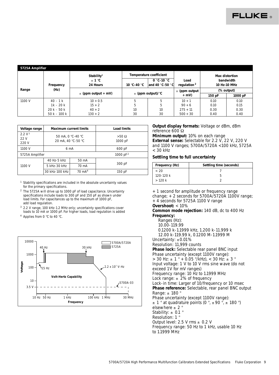| 5725A Amplifier |                                |                         |             |                                                                             |                                 |            |                                  |  |
|-----------------|--------------------------------|-------------------------|-------------|-----------------------------------------------------------------------------|---------------------------------|------------|----------------------------------|--|
|                 |                                | Stability <sup>1</sup>  |             | <b>Temperature coefficient</b>                                              |                                 |            | <b>Max distortion</b>            |  |
|                 | Frequency                      | $\pm 1$ °C<br>24 Hours  | 10 °C-40 °C | $0^{\circ}$ C-10 $^{\circ}$ C<br>and 40 $^{\circ}$ C-50 $^{\circ}$ C $\mid$ | Load<br>regulation <sup>2</sup> |            | bandwidth<br><b>10 Hz-10 MHz</b> |  |
| Range           | (Hz)                           |                         |             |                                                                             | $\pm$ (ppm output               | (% output) |                                  |  |
|                 |                                | $\pm$ (ppm output + mV) |             | $\pm$ (ppm output)/ <sup>o</sup> C                                          | $+$ mV)                         | 150pF      | $1000$ pF                        |  |
| 1100 V          | $40 - 1k$                      | $10 + 0.5$              |             |                                                                             | $10 + 1$                        | 0.10       | 0.10                             |  |
|                 | $1k - 20k$                     | $15 + 2$                |             | 5                                                                           | $90 + 6$                        | 0.10       | 0.15                             |  |
|                 | $20 k - 50 k$                  | $40 + 2$                | 10          | 10                                                                          | $275 + 11$                      | 0.30       | 0.30                             |  |
|                 | $50 \text{ k} - 100 \text{ k}$ | $130 + 2$               | 30          | 30                                                                          | $500 + 30$                      | 0.40       | 0.40                             |  |

| Voltage range                       | <b>Maximum current limits</b> |                                         | <b>Load limits</b>          |  |  |
|-------------------------------------|-------------------------------|-----------------------------------------|-----------------------------|--|--|
| 2.2 V <sup>3</sup><br>22 V<br>220 V |                               | 50 mA, 0 °C-40 °C<br>20 mA. 40 °C-50 °C | $>50$ $\Omega$<br>$1000$ pF |  |  |
| 1100 V                              | 6 mA                          |                                         | 600 pF                      |  |  |
| 5725A Amplifier                     |                               |                                         | 1000 pF <sup>2</sup>        |  |  |
|                                     | $40$ Hz-5 kHz                 | 50 mA                                   |                             |  |  |
| 1100 V                              | 5 kHz-30 kHz                  | 70 mA                                   | $300$ pF                    |  |  |
|                                     | 30 kHz-100 kHz                | $70 \text{ mA}^4$                       | 150 pF                      |  |  |

- <sup>1</sup> Stability specifications are included in the absolute uncertainty values for the primary specifications.
- $^{\rm 2}$  The 5725A will drive up to 1000 pF of load capacitance. Uncertainty specifications include loads to 300 pF and 150 pF as shown under load limits. For capacitances up to the maximum of 1000 pF, add load regulation.
- <sup>3</sup> 2.2 V range, 100 kHz-1.2 MHz only; uncertainty specifications cover loads to 10 mA or 1000 pF. For higher loads, load regulation is added
- <sup>4</sup> Applies from 0 °C to 40 °C.



**Output display formats:** Voltage or dBm, dBm reference 600 Ω

**Minimum output:** 10% on each range **External sense:** Selectable for 2.2 V, 22 V, 220 V and 1100 V ranges; 5700A/5720A <100 kHz, 5725A < 30 kHz

#### **Settling time to full uncertainty**

| <b>Settling time (seconds)</b> |
|--------------------------------|
|                                |
|                                |
|                                |
|                                |

+ 1 second for amplitude or frequency range change;  $+ 2$  seconds for 5700A/5720A 1100V range; + 4 seconds for 5725A 1100 V range

#### **Overshoot:** < 10%

### **Common mode rejection:** 140 dB, dc to 400 Hz **Frequency:**

Ranges (Hz): 10.00-119.99 0.1200 k-1.1999 kHz, 1.200 k-11.999 k 12.00 k-119.99 k, 0.1200 M-1.1999 M Uncertainty:  $\pm 0.01\%$ Resolution: 11,999 counts **Phase lock:** Selectable rear panel BNC input Phase uncertainty (except 1100V range):  $>$  30 Hz:  $\pm$  1 ° + 0.05 °/kHz), < 30 Hz:  $\pm$  3 ° Input voltage: 1 V to 10 V rms sine wave (do not exceed 1V for mV ranges) Frequency range: 10 Hz to 1.1999 MHz Lock range:  $\pm$  2% of frequency Lock-in time: Larger of 10/frequency or 10 msec **Phase reference:** Selectable, rear panel BNC output Range:  $\pm$  180  $^{\circ}$ Phase uncertainty (except 1100V range):  $\pm$  1 ° at quadrature points (0 °,  $\pm$  90 °,  $\pm$  180 °) elsewhere  $\pm$  2  $^{\circ}$ Stability:  $\pm$  0.1  $\degree$ Resolution: 1 ° Output level:  $2.5$  V rms  $\pm$  0.2 V Frequency range: 50 Hz to 1 kHz, usable 10 Hz to 1.1999 MHz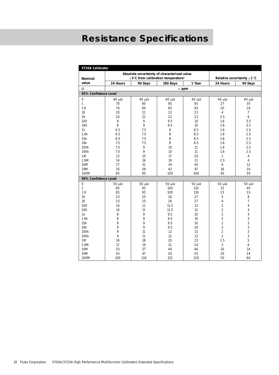# **Resistance Specifications**

| 5720A Calibrator     |                  |                  |                                                             |                |                         |                                       |
|----------------------|------------------|------------------|-------------------------------------------------------------|----------------|-------------------------|---------------------------------------|
|                      |                  |                  | Absolute uncertainty of characterized value                 |                |                         |                                       |
| <b>Nominal</b>       |                  |                  | $\pm 5^{\circ}$ C from calibration temperature <sup>1</sup> |                |                         | Relative uncertainty $\pm 1^{\circ}C$ |
| value                | 24 Hours         | 90 Days          | 180 Days                                                    | 1 Year         | 24 Hours                | 90 Days                               |
| Ω                    |                  |                  |                                                             | $±$ ppm        |                         |                                       |
| 95% Confidence Level |                  |                  |                                                             |                |                         |                                       |
| $\mathbf{0}$         | $40 \mu\Omega$   | $40 \mu\Omega$   | $40 \mu\Omega$                                              | $40 \mu\Omega$ | $40 \mu\Omega$          | $40 \mu\Omega$                        |
| $\mathbf{1}$         | 70               | 80               | 85                                                          | 95             | 27                      | 35                                    |
| 1.9                  | 70               | 80               | 85                                                          | 95             | 20                      | 26                                    |
| 10                   | 20               | 21               | 22                                                          | 23             | $\overline{\mathbf{4}}$ | $\tau$                                |
| 19                   | 20               | 21               | 22                                                          | 23             | 3.5                     | $6\phantom{1}$                        |
| 100                  | 8                | $\boldsymbol{9}$ | 9.5                                                         | 10             | 1.6                     | 3.5                                   |
| 190                  | 8                | $\boldsymbol{9}$ | 9.5                                                         | 10             | 1.6                     | 3.5                                   |
| 1 <sup>k</sup>       | 6.5              | 7.5              | 8                                                           | 8.5            | 1.6                     | 2.5                                   |
| 1.9k                 | 6.5              | 7.5              | 8                                                           | 8.5            | 1.6                     | 2.5                                   |
| 10 <sub>k</sub>      | 6.5              | 7.5              | 8                                                           | 8.5            | 1.6                     | 2.5                                   |
| 19k                  | 7.5              | 7.5              | 8                                                           | 8.5            | 1.6                     | 2.5                                   |
| 100k                 | 7.5              | 9                | 10                                                          | 11             | 1.6                     | 2.5                                   |
| 190k                 | 7.5              | $\boldsymbol{9}$ | 10                                                          | 11             | 1.6                     | 2.5                                   |
| 1M                   | 13               | 15               | 17                                                          | 20             | $\mathbf{2}$            | $\overline{4}$                        |
| 1.9M                 | 14               | 16               | 18                                                          | 21             | 2.5                     | $\overline{4}$                        |
| <b>10M</b>           | 27               | 31               | 34                                                          | 40             | 8                       | 12                                    |
| 19M                  | 35               | 39               | 42                                                          | 47             | 16                      | 20                                    |
| 100M                 | 85               | 95               | 100                                                         | 100            | 40                      | 50                                    |
| 99% Confidence Level |                  |                  |                                                             |                |                         |                                       |
| $\bf{0}$             | $50 \mu\Omega$   | $50 \mu\Omega$   | $50 \mu\Omega$                                              | $50 \mu\Omega$ | $50 \mu\Omega$          | $50 \mu\Omega$                        |
| $\mathbf{1}$         | 85               | 95               | 100                                                         | 110            | 32                      | 40                                    |
| 1.9                  | 85               | 95               | 100                                                         | 110            | 25                      | 33                                    |
| 10                   | 23               | 25               | 26                                                          | 27             | 5                       | 8                                     |
| 19                   | 23               | 25               | 26                                                          | 27             | $\overline{\mathbf{4}}$ | $\boldsymbol{7}$                      |
| 100                  | 10               | 11               | 11.5                                                        | 12             | $\boldsymbol{2}$        | $\overline{4}$                        |
| 190                  | 10               | 11               | 11.5                                                        | 12             | $\boldsymbol{2}$        | $\overline{\mathbf{4}}$               |
| 1 <sup>k</sup>       | 8                | 9                | 9.5                                                         | 10             | $\sqrt{2}$              | 3                                     |
| 1.9k                 | 8                | $\boldsymbol{9}$ | 9.5                                                         | 10             | $\boldsymbol{2}$        | 3                                     |
| 10k                  | 8                | 9                | 9.5                                                         | 10             | $\boldsymbol{2}$        | 3                                     |
| 19k                  | 9                | 9                | 9.5                                                         | 10             | $\boldsymbol{2}$        | $\,3$                                 |
| 100k                 | 9                | 11               | 12                                                          | 13             | $\boldsymbol{2}$        | 3                                     |
| 190k                 | $\boldsymbol{9}$ | 11               | 12                                                          | 13             | $\boldsymbol{2}$        | 3                                     |
| 1M                   | 16               | 18               | 20                                                          | 23             | 2.5                     | 5                                     |
| 1.9M                 | 17               | 19               | 21                                                          | 24             | 3                       | $\boldsymbol{6}$                      |
| <b>10M</b>           | 33               | 37               | 40                                                          | 46             | 10                      | 14                                    |
| 19M                  | 43               | 47               | 50                                                          | 55             | 20                      | 24                                    |
| 100M                 | 100              | 110              | 115                                                         | 120            | 50                      | 60                                    |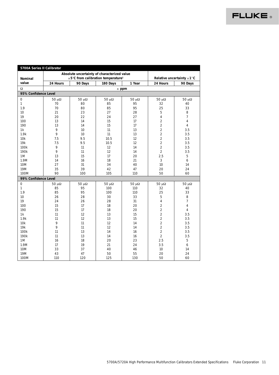| <b>5700A Series II Calibrator</b> |                  |                                                             |                |                |                         |                                       |
|-----------------------------------|------------------|-------------------------------------------------------------|----------------|----------------|-------------------------|---------------------------------------|
|                                   |                  | Absolute uncertainty of characterized value                 |                |                |                         |                                       |
| <b>Nominal</b>                    |                  | $\pm 5^{\circ}$ C from calibration temperature <sup>1</sup> |                |                |                         | Relative uncertainty $\pm 1^{\circ}C$ |
| value                             | 24 Hours         | 90 Days                                                     | 180 Days       | 1 Year         | 24 Hours                | 90 Days                               |
| Ω                                 |                  |                                                             |                | $±$ ppm        |                         |                                       |
| 95% Confidence Level              |                  |                                                             |                |                |                         |                                       |
| $\bf{0}$                          | $50 \mu\Omega$   | $50 \mu\Omega$                                              | $50 \mu\Omega$ | $50 \mu\Omega$ | $50 \mu\Omega$          | $50 \mu\Omega$                        |
| $\mathbf{1}$                      | 70               | 80                                                          | 85             | 95             | 32                      | 40                                    |
| 1.9                               | 70               | 80                                                          | 85             | 95             | 25                      | 33                                    |
| 10                                | 21               | 23                                                          | 27             | 28             | $\overline{5}$          | 8                                     |
| 19                                | 20               | 22                                                          | 24             | 27             | $\overline{\mathbf{4}}$ | $\overline{7}$                        |
| 100                               | 13               | 14                                                          | 15             | 17             | $\boldsymbol{2}$        | $\overline{\mathbf{4}}$               |
| 190                               | 13               | 14                                                          | 15             | 17             | $\boldsymbol{2}$        | $\overline{4}$                        |
| 1 <sup>k</sup>                    | 9                | 10                                                          | 11             | 13             | $\overline{c}$          | 3.5                                   |
| 1.9k                              | $\boldsymbol{9}$ | 10                                                          | 11             | 13             | $\boldsymbol{2}$        | 3.5                                   |
| 10 <sub>k</sub>                   | 7.5              | 9.5                                                         | 10.5           | 12             | $\sqrt{2}$              | 3.5                                   |
| 19k                               | 7.5              | 9.5                                                         | 10.5           | 12             | $\boldsymbol{2}$        | 3.5                                   |
| 100k                              | $\boldsymbol{9}$ | 11                                                          | 12             | 14             | $\sqrt{2}$              | 3.5                                   |
| 190k                              | 9                | 11                                                          | 12             | 14             | $\boldsymbol{2}$        | 3.5                                   |
| 1 M                               | 13               | 15                                                          | 17             | 20             | 2.5                     | 5                                     |
| 1.9M                              | 14               | 16                                                          | 18             | 21             | $\,3$                   | 6                                     |
| 10M                               | 27               | 31                                                          | 34             | 40             | 10                      | 14                                    |
| 19M                               | 35               | 39                                                          | 42             | 47             | 20                      | 24                                    |
| 100M                              | 90               | 100                                                         | 105            | 110            | 50                      | 60                                    |
| 99% Confidence Level              |                  |                                                             |                |                |                         |                                       |
| $\mathbf{0}$                      | $50 \mu\Omega$   | $50 \mu\Omega$                                              | $50 \mu\Omega$ | $50 \mu\Omega$ | $50 \mu\Omega$          | $50 \mu\Omega$                        |
| $\mathbf{1}$                      | 85               | 95                                                          | 100            | 110            | 32                      | 40                                    |
| 1.9                               | 85               | 95                                                          | 100            | 110            | 25                      | 33                                    |
| 10                                | 26               | 28                                                          | 30             | 33             | $\overline{5}$          | 8                                     |
| 19                                | 24               | 26                                                          | 28             | 31             | $\overline{\mathbf{4}}$ | $\overline{7}$                        |
| 100                               | 15               | 17                                                          | 18             | 20             | $\boldsymbol{2}$        | $\overline{\mathbf{4}}$               |
| 190                               | 15               | 17                                                          | 18             | 20             | $\boldsymbol{2}$        | $\overline{\mathbf{4}}$               |
| 1k                                | 11               | 12                                                          | 13             | 15             | $\boldsymbol{2}$        | 3.5                                   |
| 1.9k                              | 11               | 12                                                          | 13             | 15             | $\boldsymbol{2}$        | 3.5                                   |
| 10k                               | 9                | 11                                                          | 12             | 14             | $\boldsymbol{2}$        | 3.5                                   |
| 19k                               | $\overline{9}$   | 11                                                          | 12             | 14             | $\overline{c}$          | 3.5                                   |
| 100k                              | 11               | 13                                                          | 14             | 16             | $\boldsymbol{2}$        | 3.5                                   |
| 190k                              | 11               | 13                                                          | 14             | 16             | $\sqrt{2}$              | 3.5                                   |
| 1 M                               | 16               | 18                                                          | 20             | 23             | 2.5                     | $\mathbf 5$                           |
| 1.9M                              | 17               | 19                                                          | 21             | 24             | 3.5                     | 6                                     |
| 10M                               | 33               | 37                                                          | 40             | 46             | 10                      | 14                                    |
| 19M                               | 43               | 47                                                          | 50             | 55             | 20                      | 24                                    |
| 100M                              | 110              | 120                                                         | 125            | 130            | 50                      | 60                                    |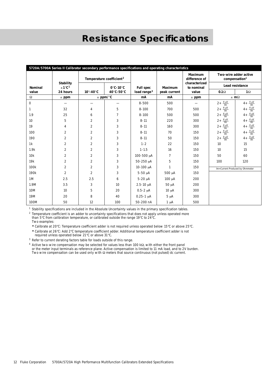### **Resistance Specifications**

|                | 5720A/5700A Series II Calibrator secondary performance specifications and operating characteristics |                               |                                      |                         |                |                                 |                               |                                                    |
|----------------|-----------------------------------------------------------------------------------------------------|-------------------------------|--------------------------------------|-------------------------|----------------|---------------------------------|-------------------------------|----------------------------------------------------|
|                |                                                                                                     |                               | Temperature coefficient <sup>2</sup> |                         |                | <b>Maximum</b><br>difference of |                               | Two-wire adder active<br>compensation <sup>4</sup> |
| <b>Nominal</b> | <b>Stability</b><br>±1°C <sup>1</sup>                                                               |                               | $0^\circ$ C-10 $^\circ$ C            | <b>Full spec</b>        | <b>Maximum</b> | characterized<br>to nominal     |                               | <b>Lead resistance</b>                             |
| value          | 24 hours                                                                                            | $10^{\circ}$ -40 $^{\circ}$ C | $40^\circ$ C-50 $^\circ$ C           | load range <sup>3</sup> | peak current   | value                           | $0.1\Omega$                   | $1\Omega$                                          |
| $\Omega$       | $±$ ppm                                                                                             |                               | $\pm$ ppm/°C                         | mA                      | mA             | $±$ ppm                         |                               | $\pm$ m $\Omega$                                   |
| $\bf{0}$       |                                                                                                     |                               |                                      | $8 - 500$               | 500            |                                 | $2+\frac{4 \mu V}{Im}$        | $4+\frac{4 \mu V}{\text{Im}}$                      |
| 1              | 32                                                                                                  | $\overline{4}$                | 5                                    | $8 - 100$               | 700            | 500                             | $2 + \frac{4 \mu V}{m}$       | $4+\;\frac{4\;\mu\text{V}}{\text{Im}}$             |
| 1.9            | 25                                                                                                  | 6                             | 7                                    | $8 - 100$               | 500            | 500                             | $2+\frac{4 \mu V}{\text{Im}}$ | $4 + \frac{4 \mu V}{\text{Im}}$                    |
| 10             | 5                                                                                                   | $\boldsymbol{2}$              | 3                                    | $8 - 11$                | 220            | 300                             | $2 + \frac{4 \mu V}{Im}$      | $4+\frac{4\;\mu\text{V}}{\text{Im}}$               |
| 19             | 4                                                                                                   | $\boldsymbol{2}$              | 3                                    | $8 - 11$                | 160            | 300                             | $2 + \frac{4 \mu V}{Im}$      | $4+\frac{4\ \mu V}{lm}$                            |
| 100            | 2                                                                                                   | $\boldsymbol{2}$              | 3                                    | $8 - 11$                | 70             | 150                             | $2+\frac{4 \mu V}{\text{Im}}$ | $4 + \frac{4 \mu V}{Im}$                           |
| 190            | $\boldsymbol{2}$                                                                                    | $\boldsymbol{2}$              | 3                                    | $8 - 11$                | 50             | 150                             | $2+\frac{4 \mu V}{Im}$        | $4+\frac{4 \mu V}{\text{Im}}$                      |
| 1 <sub>k</sub> | $\boldsymbol{2}$                                                                                    | $\boldsymbol{2}$              | 3                                    | $1 - 2$                 | 22             | 150                             | 10                            | 15                                                 |
| 1.9k           | 2                                                                                                   | $\boldsymbol{2}$              | 3                                    | $1 - 1.5$               | 16             | 150                             | 10                            | 15                                                 |
| 10k            | 2                                                                                                   | $\boldsymbol{2}$              | 3                                    | 100-500 uA              | $\tau$         | 150                             | 50                            | 60                                                 |
| 19k            | $\boldsymbol{2}$                                                                                    | $\boldsymbol{2}$              | 3                                    | 50-250 µA               | $\mathbf 5$    | 150                             | 100                           | 120                                                |
| 100k           | $\boldsymbol{2}$                                                                                    | $\boldsymbol{2}$              | 3                                    | $10-100 \mu A$          | $\mathbf{1}$   | 150                             |                               | Im=Current Produced by Ohmmeter                    |
| 190k           | $\overline{\mathbf{2}}$                                                                             | $\overline{2}$                | 3                                    | $5-50$ $\mu$ A          | $500 \mu A$    | 150                             |                               |                                                    |
| 1M             | 2.5                                                                                                 | 2.5                           | 6                                    | $5-20 \mu A$            | 100 µA         | 200                             |                               |                                                    |
| 1.9M           | 3.5                                                                                                 | 3                             | 10                                   | $2.5 - 10 \mu A$        | $50 \mu A$     | 200                             |                               |                                                    |
| 10M            | 10                                                                                                  | 5                             | 20                                   | $0.5 - 2 \mu A$         | $10 \mu A$     | 300                             |                               |                                                    |
| 19M            | 20                                                                                                  | 8                             | 40                                   | $0.25 - 1 \mu A$        | $5 \mu A$      | 300                             |                               |                                                    |
| 100M           | 50                                                                                                  | 12                            | 100                                  | 50-200 nA               | $1 \mu A$      | 500                             |                               |                                                    |

 $^{\rm 1}$  Stability specifications are included in the Absolute Uncertainty values in the primary specification tables.

<sup>2</sup> Temperature coefficient is an adder to uncertainty specifications that does not apply unless operated more than 5°C from calibration temperature, or calibrated outside the range 19°C to 24°C.

Two examples:

• Calibrate at 20°C: Temperature coefficient adder is not required unless operated below 15°C or above 25°C.

• Calibrate at 26°C: Add 2°C temperature coefficient adder. Additional temperature coefficient adder is not

required unless operated below 21°C or above 31°C.

<sup>3</sup> Refer to current derating factors table for loads outside of this range.

<sup>4</sup> Active two-wire compensation may be selected for values less than 100 kΩ, with either the front panel or the meter input terminals as reference plane. Active compensation is limited to 11 mA load, and to 2V burden. Two wire compensation can be used only with Ω meters that source continuous (not pulsed) dc current.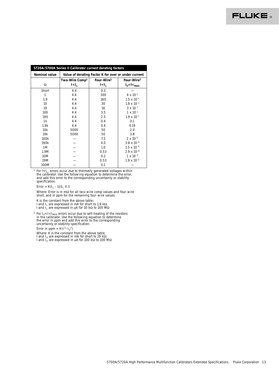|                      | 5720A/5700A Series II Calibrator current derating factors |                                                      |                           |
|----------------------|-----------------------------------------------------------|------------------------------------------------------|---------------------------|
| <b>Nominal value</b> |                                                           | Value of derating Factor K for over or under current |                           |
|                      | Two-Wire Comp <sup>1</sup>                                | Four-Wire <sup>1</sup>                               | Four-Wire <sup>2</sup>    |
| Ω                    | $I < I_L$                                                 | I < I <sub>r</sub>                                   | $I_{U}$ < $I$ < $K_{MAX}$ |
| Short                | 4.4                                                       | 0.3                                                  |                           |
| 1                    | 4.4                                                       | 300                                                  | $4 \times 10^{-5}$        |
| 1.9                  | 4.4                                                       | 160                                                  | $1.5 \times 10^{-4}$      |
| 10                   | 4.4                                                       | 30                                                   | $1.6 \times 10^{-3}$      |
| 19                   | 4.4                                                       | 16                                                   | $3 \times 10^{-3}$        |
| 100                  | 4.4                                                       | 3.5                                                  | $1 \times 10^{-2}$        |
| 190                  | 4.4                                                       | 2.5                                                  | $1.9 \times 10^{-2}$      |
| 1k                   | 4.4                                                       | 0.4                                                  | 0.1                       |
| 1.9k                 | 4.4                                                       | 0.4                                                  | 0.19                      |
| 10k                  | 5000                                                      | 50                                                   | 2.0                       |
| 19k                  | 5000                                                      | 50                                                   | 3.8                       |
| 100k                 |                                                           | 7.5                                                  | $2 \times 10^{-5}$        |
| 190k                 |                                                           | 4.0                                                  | $3.8 \times 10^{-5}$      |
| 1M                   |                                                           | 1.0                                                  | $1.5 \times 10^{-4}$      |
| 1.9M                 |                                                           | 0.53                                                 | $2.9 \times 10^{-4}$      |
| 10M                  |                                                           | 0.2                                                  | $1 \times 10^{-3}$        |
| 19M                  |                                                           | 0.53                                                 | $1.9 \times 10^{-3}$      |
| 100M                 |                                                           | 0.1                                                  |                           |

 $^{\rm 1}$  For I<II, errors occur due to thermally generated voltages within the calibrator. Use the following equation to determine the error, and add this error to the corresponding uncertainty or stability specification.

 $\text{Error} = K(I_L - I)/(I_L \; X \; I)$ 

Where: Error is in mΩ for all two-wire comp values and four-wire short, and in ppm for the remaining four-wire values.

K is the constant from the above table;<br>I and I<sub>L</sub> are expressed in mA for short to 1.9 kΩ;<br>I and I<sub>L</sub> are expressed in μA for 10 kΩ to 100 MΩ

<sup>2</sup> For  $I_U < I < I_{MAX}$  errors occur due to self-heating of the resistors in the calibrator. Use the following equation to determine the error in ppm and add this error to the corresponding uncertainty or stability specificat

Error in  $ppm = K(I^2-I_U^2)$ 

Where: K is the constant from the above table;<br>I and I<sub>U</sub> are expressed in mA for short to 19 kΩ;<br>I and I<sub>U</sub> are expressed in µA for 100 kΩ to 100 MΩ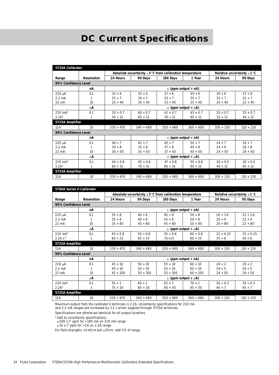## **DC Current Specifications**

|                      | 5720A Calibrator  |             |                                                                     |             |                              |             |                                        |  |  |  |  |  |
|----------------------|-------------------|-------------|---------------------------------------------------------------------|-------------|------------------------------|-------------|----------------------------------------|--|--|--|--|--|
|                      |                   |             | Absolute uncertainty $\pm 5^{\circ}$ C from calibration temperature |             |                              |             | Relative uncertainty $\pm 1^{\circ}$ C |  |  |  |  |  |
| Range                | <b>Resolution</b> | 24 Hours    | 90 Days                                                             | 180 Days    | 1 Year                       | 24 Hours    | 90 Days                                |  |  |  |  |  |
| 95% Confidence Level |                   |             |                                                                     |             |                              |             |                                        |  |  |  |  |  |
|                      | nA                |             |                                                                     |             | $\pm$ (ppm output + nA)      |             |                                        |  |  |  |  |  |
| $220 \mu A$          | 0.1               | $32 + 6$    | $35 + 6$                                                            | $37 + 6$    | $40 + 6$                     | $20 + 6$    | $22+6$                                 |  |  |  |  |  |
| $2.2 \text{ mA}$     | 1                 | $25 + 7$    | $30 + 7$                                                            | $33 + 7$    | $35 + 7$                     | $20 + 7$    | $22 + 7$                               |  |  |  |  |  |
| $22 \text{ mA}$      | 10                | $25 + 40$   | $30 + 40$                                                           | $33 + 40$   | $35 + 40$                    | $20 + 40$   | $22 + 40$                              |  |  |  |  |  |
|                      | $\mu$ <b>A</b>    |             | $\pm$ (ppm output + $\mu$ A)                                        |             |                              |             |                                        |  |  |  |  |  |
| $220 \text{ mA}^1$   | 0.1               | $35 + 0.7$  | $40 + 0.7$                                                          | $42 + 0.7$  | $45 + 0.7$                   | $20 + 0.7$  | $25 + 0.7$                             |  |  |  |  |  |
| 2.2A <sup>1</sup>    | 1                 | $50 + 12$   | $60 + 12$                                                           | $70 + 12$   | $80 + 12$                    | $32 + 12$   | $40 + 12$                              |  |  |  |  |  |
| 5725A Amplifier      |                   |             |                                                                     |             |                              |             |                                        |  |  |  |  |  |
| 11 A                 | 10                | $330 + 470$ | $340 + 480$                                                         | $350 + 480$ | $360 + 480$                  | $100 + 130$ | $110 + 130$                            |  |  |  |  |  |
| 99% Confidence Level |                   |             |                                                                     |             |                              |             |                                        |  |  |  |  |  |
|                      | nA                |             |                                                                     |             | $\pm$ (ppm output + nA)      |             |                                        |  |  |  |  |  |
| $220 \mu A$          | 0.1               | $40 + 7$    | $42 + 7$                                                            | $45 + 7$    | $50 + 7$                     | $24 + 7$    | $26 + 7$                               |  |  |  |  |  |
| $2.2 \text{ mA}$     | 1                 | $30 + 8$    | $35 + 8$                                                            | $37 + 8$    | $40 + 8$                     | $24 + 8$    | $26 + 8$                               |  |  |  |  |  |
| $22 \text{ mA}$      | 10                | $30 + 50$   | $35 + 50$                                                           | $37 + 50$   | $40 + 50$                    | $24 + 50$   | $26 + 50$                              |  |  |  |  |  |
|                      | $\mu$ <b>A</b>    |             |                                                                     |             | $\pm$ (ppm output + $\mu$ A) |             |                                        |  |  |  |  |  |
| $220 \text{ mA}^1$   | 0.1               | $40 + 0.8$  | $45 + 0.8$                                                          | $47 + 0.8$  | $50 + 0.8$                   | $26 + 0.5$  | $30 + 0.5$                             |  |  |  |  |  |
| 2.2A <sup>1</sup>    | 1                 | $60 + 15$   | $70 + 15$                                                           | $80 + 15$   | $90 + 15$                    | $40 + 12$   | $45 + 12$                              |  |  |  |  |  |
| 5725A Amplifier      |                   |             |                                                                     |             |                              |             |                                        |  |  |  |  |  |
| 11 A                 | 10                | $330 + 470$ | $340 + 480$                                                         | $350 + 480$ | $360 + 480$                  | $100 + 130$ | $110 + 130$                            |  |  |  |  |  |

|                      | <b>5700A Series II Calibrator</b> |             |                                                                     |             |                              |                                       |             |  |  |  |  |  |
|----------------------|-----------------------------------|-------------|---------------------------------------------------------------------|-------------|------------------------------|---------------------------------------|-------------|--|--|--|--|--|
|                      |                                   |             | Absolute uncertainty $\pm 5^{\circ}$ C from calibration temperature |             |                              | Relative uncertainty $\pm 1^{\circ}C$ |             |  |  |  |  |  |
| Range                | <b>Resolution</b>                 | 24 Hours    | 90 Days                                                             | 180 Days    | 1 Year                       | 24 Hours                              | 90 Days     |  |  |  |  |  |
| 95% Confidence Level |                                   |             |                                                                     |             |                              |                                       |             |  |  |  |  |  |
|                      | nA                                |             |                                                                     |             | $\pm$ (ppm output + nA)      |                                       |             |  |  |  |  |  |
| $220 \mu A$          | 0.1                               | $35 + 8$    | $40 + 8$                                                            | $45 + 8$    | $50 + 8$                     | $20 + 1.6$                            | $22 + 1.6$  |  |  |  |  |  |
| $2.2 \text{ mA}$     | 1                                 | $35 + 8$    | $40 + 8$                                                            | $45 + 8$    | $50 + 8$                     | $20 + 4$                              | $22 + 4$    |  |  |  |  |  |
| $22 \text{ mA}$      | 10 <sup>2</sup>                   | $35 + 80$   | $40 + 80$                                                           | $45 + 80$   | $50 + 80$                    | $20 + 80$                             | $22 + 80$   |  |  |  |  |  |
|                      | $\mu$ A                           |             | $\pm$ (ppm output + $\mu$ A)                                        |             |                              |                                       |             |  |  |  |  |  |
| $220 \text{ mA}^1$   | 0.1                               | $45 + 0.8$  | $50 + 0.8$                                                          | $55 + 0.8$  | $60 + 0.8$                   | $22 + 0.25$                           | $25 + 0.25$ |  |  |  |  |  |
| 2.2A1 <sup>1</sup>   | 1                                 | $60 + 25$   | $65 + 25$                                                           | $75 + 25$   | $80 + 25$                    | $35 + 6$                              | $40 + 6$    |  |  |  |  |  |
| 5725A Amplifier      |                                   |             |                                                                     |             |                              |                                       |             |  |  |  |  |  |
| 11 A                 | 10 <sup>10</sup>                  | $330 + 470$ | $340 + 480$                                                         | $350 + 480$ | $360 + 480$                  | $100 + 130$                           | $110 + 130$ |  |  |  |  |  |
| 99% Confidence Level |                                   |             |                                                                     |             |                              |                                       |             |  |  |  |  |  |
|                      | nA                                |             |                                                                     |             | $\pm$ (ppm output + nA)      |                                       |             |  |  |  |  |  |
| $220 \mu A$          | 0.1                               | $45 + 10$   | $50 + 10$                                                           | $55 + 10$   | $60 + 10$                    | $24 + 2$                              | $26 + 2$    |  |  |  |  |  |
| $2.2 \text{ mA}$     | 1                                 | $45 + 10$   | $50 + 10$                                                           | $55 + 10$   | $60 + 10$                    | $24 + 5$                              | $26 + 5$    |  |  |  |  |  |
| $22 \text{ mA}$      | 10                                | $45 + 100$  | $50 + 100$                                                          | $55 + 100$  | $60 + 100$                   | $24 + 50$                             | $26 + 50$   |  |  |  |  |  |
|                      | $\mu$ A                           |             |                                                                     |             | $\pm$ (ppm output + $\mu$ A) |                                       |             |  |  |  |  |  |
| $220 \text{ mA}^1$   | 0.1                               | $55 + 1$    | $60 + 1$                                                            | $65 + 1$    | $70 + 1$                     | $26 + 0.3$                            | $30 + 0.3$  |  |  |  |  |  |
| 2.2A <sup>1</sup>    | 1                                 | $75 + 30$   | $80 + 30$                                                           | $90 + 30$   | $95 + 30$                    | $40 + 7$                              | $45 + 7$    |  |  |  |  |  |
| 5725A Amplifier      |                                   |             |                                                                     |             |                              |                                       |             |  |  |  |  |  |
| 11 A                 | 10 <sup>10</sup>                  | $330 + 470$ | $340 + 480$                                                         | $350 + 480$ | $360 + 480$                  | $100 + 130$                           | $110 + 130$ |  |  |  |  |  |

Maximum output from the calibrator's terminals is 2.2A. Uncertainty specifications for 220 mA and 2.2 mA ranges are increased by 1.3 x when suppled through 5725A terminals.

Specifications are otherwise identical for all output locations.

<sup>1</sup> Add to uncertainty specifications:

 $\pm 200$  x I<sup>2</sup> ppm for >100 mA on 220 mA range<br> $\pm 10$  x I<sup>2</sup> ppm for >1A on 2.2A range

For field strengths >0.4V/m but ≤3V/m, add 1% of range.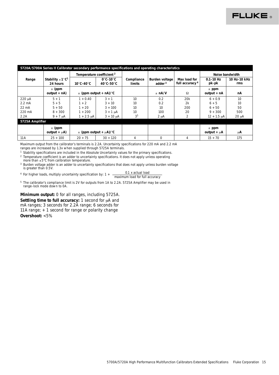|                  | 5720A/5700A Series II Calibrator secondary performance specifications and operating characteristics |                                      |                                                         |                      |                                             |                                            |                               |                     |  |  |  |
|------------------|-----------------------------------------------------------------------------------------------------|--------------------------------------|---------------------------------------------------------|----------------------|---------------------------------------------|--------------------------------------------|-------------------------------|---------------------|--|--|--|
|                  |                                                                                                     | Temperature coefficient <sup>2</sup> |                                                         |                      |                                             |                                            | <b>Noise bandwidth</b>        |                     |  |  |  |
| Range            | Stability $\pm 1^{\circ}C^1$<br>24 hours                                                            | $10^{\circ}$ C-40 $^{\circ}$ C       | $0^\circ$ C-10 $^\circ$ C<br>$40^\circ$ C-50 $^\circ$ C | Compliance<br>limits | <b>Burden voltage</b><br>adder <sup>3</sup> | Max load for<br>full accuracy <sup>4</sup> | $0.1 - 10$ Hz<br>pk-pk        | 10 Hz-10 kHz<br>rms |  |  |  |
|                  | $\pm$ (ppm<br>output $+ nA$                                                                         |                                      | $\pm$ (ppm output + nA)/°C                              |                      | $\pm$ nA/V                                  | Ω                                          | $±$ ppm<br>$output + nA$      | nA                  |  |  |  |
| $220 \mu A$      | $5 + 1$                                                                                             | $1 + 0.40$                           | $3 + 1$                                                 | 10                   | 0.2                                         | 20 <sub>k</sub>                            | $6 + 0.9$                     | 10                  |  |  |  |
| $2.2 \text{ mA}$ | $5 + 5$                                                                                             | $1 + 2$                              | $3 + 10$                                                | 10                   | 0.2                                         | 2k                                         | $6 + 5$                       | 10                  |  |  |  |
| $22 \text{ mA}$  | $5 + 50$                                                                                            | $1 + 20$                             | $3 + 100$                                               | 10                   | 10                                          | 200                                        | $6 + 50$                      | 50                  |  |  |  |
| $220 \text{ mA}$ | $8 + 300$                                                                                           | $1 + 200$                            | $3 + 1$ $\mu$ A                                         | 10                   | 100                                         | 20                                         | $9 + 300$                     | 500                 |  |  |  |
| 2.2A             | $9 + 7 \mu A$                                                                                       | $1 + 2.5 \mu A$                      | $3 + 10 \mu A$                                          | 3 <sup>5</sup>       | $2 \mu A$                                   | $\mathbf{2}$                               | $12 + 1.5 \mu A$              | $20 \mu A$          |  |  |  |
| 5725A Amplifier  |                                                                                                     |                                      |                                                         |                      |                                             |                                            |                               |                     |  |  |  |
|                  | $\pm$ (ppm<br>output + $\mu$ A)                                                                     |                                      | $\pm$ (ppm output + $\mu$ A)/ <sup>o</sup> C            |                      |                                             |                                            | $\pm$ ppm<br>output $+ \mu A$ | $\mu$ A             |  |  |  |
| 11 A             | $25 + 100$                                                                                          | $20 + 75$                            | $30 + 120$                                              | 4                    | $\bf{0}$                                    | 4                                          | $15 + 70$                     | 175                 |  |  |  |

Maximum output from the calibrator's terminals is 2.2A. Uncertainty specifications for 220 mA and 2.2 mA

ranges are increased by 1.3x when supplied through 5725A terminals.

 $<sup>1</sup>$  Stability specifications are included in the Absolute Uncertainty values for the primary specifications.</sup> 2 Temperature coefficient is an adder to uncertainty specifications. It does not apply unless operating

more than  $\pm 5^{\circ}$ C from calibration temperature.

 $^3$  Burden voltage adder is an adder to uncertainty specifications that does not apply unless burden voltage is greater than 0.5V.

<sup>4</sup> For higher loads, multiply uncertainty specification by:  $1 + \frac{0.1 \text{ x actual load}}{\text{maximum load for full accuracy}}$ 

<sup>5</sup> The calibrator's compliance limit is 2V for outputs from 1A to 2.2A. 5725A Amplifier may be used in range-lock mode down to 0A.

**Minimum output:** 0 for all ranges, including 5725A. **Settling time to full accuracy:** 1 second for µA and mA ranges; 3 seconds for 2.2A range; 6 seconds for 11A range; + 1 second for range or polarity change **Overshoot:** <5%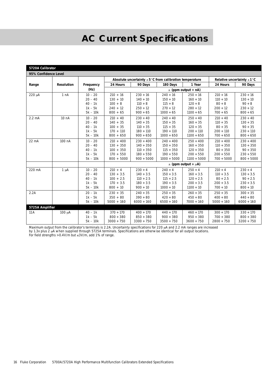# **AC Current Specifications**

| 5720A Calibrator     |                   |            |              |              |                                                                     |                              |              |                                       |
|----------------------|-------------------|------------|--------------|--------------|---------------------------------------------------------------------|------------------------------|--------------|---------------------------------------|
| 95% Confidence Level |                   |            |              |              |                                                                     |                              |              |                                       |
|                      |                   |            |              |              | Absolute uncertainty $\pm 5^{\circ}$ C from calibration temperature |                              |              | Relative uncertainty $\pm 1^{\circ}C$ |
| Range                | <b>Resolution</b> | Frequency  | 24 Hours     | 90 Days      | 180 Days                                                            | 1 Year                       | 24 Hours     | 90 Days                               |
|                      |                   | (Hz)       |              |              |                                                                     | $\pm$ (ppm output + nA)      |              |                                       |
| 220 µA               | 1 nA              | $10 - 20$  | $210 + 16$   | $230 + 16$   | $240 + 16$                                                          | $250 + 16$                   | $210 + 16$   | $230 + 16$                            |
|                      |                   | $20 - 40$  | $130 + 10$   | $140 + 10$   | $150 + 10$                                                          | $160 + 10$                   | $110 + 10$   | $130 + 10$                            |
|                      |                   | $40 - 1k$  | $100 + 8$    | $110 + 8$    | $115 + 8$                                                           | $120 + 8$                    | $80 + 8$     | $90 + 8$                              |
|                      |                   | $1k - 5k$  | $240 + 12$   | $250 + 12$   | $270 + 12$                                                          | $280 + 12$                   | $200 + 12$   | $230 + 12$                            |
|                      |                   | $5k - 10k$ | $800 + 65$   | $900 + 65$   | $1000 + 65$                                                         | $1100 + 65$                  | $700 + 65$   | $800 + 65$                            |
| $2.2 \text{ mA}$     | 10 <sub>nA</sub>  | $10 - 20$  | $210 + 40$   | $230 + 40$   | $240 + 40$                                                          | $250 + 40$                   | $210 + 40$   | $230 + 40$                            |
|                      |                   | $20 - 40$  | $140 + 35$   | $140 + 35$   | $150 + 35$                                                          | $160 + 35$                   | $110 + 35$   | $130 + 35$                            |
|                      |                   | $40 - 1k$  | $100 + 35$   | $110 + 35$   | $115 + 35$                                                          | $120 + 35$                   | $80 + 35$    | $90 + 35$                             |
|                      |                   | $1k - 5k$  | $170 + 110$  | $180 + 110$  | $190 + 110$                                                         | $200 + 110$                  | $200 + 110$  | $230 + 110$                           |
|                      |                   | 5k - 10k   | $800 + 650$  | $900 + 650$  | $1000 + 650$                                                        | $1100 + 650$                 | $700 + 650$  | $800 + 650$                           |
| $22 \text{ mA}$      | $100$ nA          | $10 - 20$  | $210 + 400$  | $230 + 400$  | $240 + 400$                                                         | $250 + 400$                  | $210 + 400$  | $230 + 400$                           |
|                      |                   | $20 - 40$  | $130 + 350$  | $140 + 350$  | $150 + 350$                                                         | $160 + 350$                  | $110 + 350$  | $130 + 350$                           |
|                      |                   | $40 - 1k$  | $100 + 350$  | $110 + 350$  | $115 + 350$                                                         | $120 + 350$                  | $80 + 350$   | $90 + 350$                            |
|                      |                   | $1k - 5k$  | $170 + 550$  | $180 + 550$  | $190 + 550$                                                         | $200 + 550$                  | $200 + 550$  | $230 + 550$                           |
|                      |                   | $5k - 10k$ | $800 + 5000$ | $900 + 5000$ | $1000 + 5000$                                                       | $1100 + 5000$                | $700 + 5000$ | $800 + 5000$                          |
|                      |                   |            |              |              |                                                                     | $\pm$ (ppm output + $\mu$ A) |              |                                       |
| 220 mA               | $1 \mu A$         | $10 - 20$  | $210 + 4$    | $230 + 4$    | $240 + 4$                                                           | $250 + 4$                    | $210 + 4$    | $230 + 4$                             |
|                      |                   | $20 - 40$  | $130 + 3.5$  | $140 + 3.5$  | $150 + 3.5$                                                         | $160 + 3.5$                  | $110 + 3.5$  | $130 + 3.5$                           |
|                      |                   | $40 - 1k$  | $100 + 2.5$  | $110 + 2.5$  | $115 + 2.5$                                                         | $120 + 2.5$                  | $80 + 2.5$   | $90 + 2.5$                            |
|                      |                   | $1k - 5k$  | $170 + 3.5$  | $180 + 3.5$  | $190 + 3.5$                                                         | $200 + 3.5$                  | $200 + 3.5$  | $230 + 3.5$                           |
|                      |                   | 5k - 10k   | $800 + 10$   | $900 + 10$   | $1000 + 10$                                                         | $1100 + 10$                  | $700 + 10$   | $800 + 10$                            |
| 2.2A                 |                   | $20 - 1k$  | $230 + 35$   | $240 + 35$   | $250 + 35$                                                          | $260 + 35$                   | $250 + 35$   | $300 + 35$                            |
|                      |                   | $1k - 5k$  | $350 + 80$   | $390 + 80$   | $420 + 80$                                                          | $450 + 80$                   | $400 + 80$   | $440 + 80$                            |
|                      |                   | 5k - 10k   | $5000 + 160$ | $6000 + 160$ | $6500 + 160$                                                        | $7000 + 160$                 | $5000 + 160$ | $6000 + 160$                          |
| 5725A Amplifier      |                   |            |              |              |                                                                     |                              |              |                                       |
| 11A                  | $100 \mu A$       | $40 - 1k$  | $370 + 170$  | $400 + 170$  | $440 + 170$                                                         | $460 + 170$                  | $300 + 170$  | $330 + 170$                           |
|                      |                   | $1k - 5k$  | $800 + 380$  | $850 + 380$  | $900 + 380$                                                         | $950 + 380$                  | $700 + 380$  | $800 + 380$                           |
|                      |                   | 5k - 10k   | $3000 + 750$ | $3300 + 750$ | $3500 + 750$                                                        | $3600 + 750$                 | $2800 + 750$ | $3200 + 750$                          |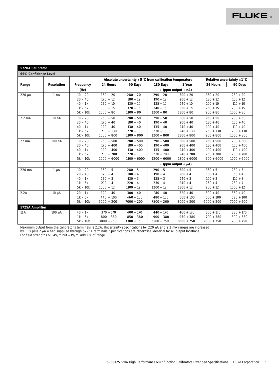| 5720A Calibrator |  |
|------------------|--|
|                  |  |

**99% Confidence Level**

|                  |                   |            |               | Absolute uncertainty $\pm 5^{\circ}$ C from calibration temperature |               |                              |              | Relative uncertainty $\pm 1^{\circ}C$ |
|------------------|-------------------|------------|---------------|---------------------------------------------------------------------|---------------|------------------------------|--------------|---------------------------------------|
| Range            | <b>Resolution</b> | Frequency  | 24 Hours      | 90 Days                                                             | 180 Days      | 1 Year                       | 24 Hours     | 90 Days                               |
|                  |                   | (Hz)       |               |                                                                     |               | $\pm$ (ppm output + nA)      |              |                                       |
| 220 µA           | 1 nA              | $10 - 20$  | $260 + 20$    | $280 + 20$                                                          | $290 + 20$    | $300 + 20$                   | $260 + 20$   | $280 + 20$                            |
|                  |                   | $20 - 40$  | $170 + 12$    | $180 + 12$                                                          | $190 + 12$    | $200 + 12$                   | $130 + 12$   | $150 + 12$                            |
|                  |                   | $40 - 1k$  | $120 + 10$    | $130 + 10$                                                          | $135 + 10$    | $140 + 10$                   | $100 + 10$   | $110 + 10$                            |
|                  |                   | $1k - 5k$  | $300 + 15$    | $320 + 15$                                                          | $340 + 15$    | $350 + 15$                   | $250 + 15$   | $280 + 15$                            |
|                  |                   | 5k - 10k   | $1000 + 80$   | $1100 + 80$                                                         | $1200 + 80$   | $1300 + 80$                  | $900 + 80$   | $1000 + 80$                           |
| $2.2 \text{ mA}$ | 10 <sub>nA</sub>  | $10 - 20$  | $260 + 50$    | $280 + 50$                                                          | $290 + 50$    | $300 + 50$                   | $260 + 50$   | $280 + 50$                            |
|                  |                   | $20 - 40$  | $170 + 40$    | $180 + 40$                                                          | $190 + 40$    | $200 + 40$                   | $130 + 40$   | $150 + 40$                            |
|                  |                   | $40 - 1k$  | $120 + 40$    | $130 + 40$                                                          | $135 + 40$    | $140 + 40$                   | $100 + 40$   | $110 + 40$                            |
|                  |                   | $1k - 5k$  | $210 + 130$   | $220 + 130$                                                         | $230 + 130$   | $240 + 130$                  | $250 + 130$  | $280 + 130$                           |
|                  |                   | $5k - 10k$ | $1000 + 800$  | $1100 + 800$                                                        | $1200 + 800$  | $1300 + 800$                 | $900 + 800$  | $1000 + 800$                          |
| $22 \text{ mA}$  | $100$ nA          | $10 - 20$  | $260 + 500$   | $280 + 500$                                                         | $290 + 500$   | $300 + 500$                  | $260 + 500$  | $280 + 500$                           |
|                  |                   | $20 - 40$  | $170 + 400$   | $180 + 400$                                                         | $190 + 400$   | $200 + 400$                  | $130 + 400$  | $150 + 400$                           |
|                  |                   | $40 - 1k$  | $120 + 400$   | $130 + 400$                                                         | $135 + 400$   | $140 + 400$                  | $100 + 400$  | $110 + 400$                           |
|                  |                   | $1k - 5k$  | $210 + 700$   | $220 + 700$                                                         | $230 + 700$   | $240 + 700$                  | $250 + 700$  | $280 + 700$                           |
|                  |                   | 5k - 10k   | $1000 + 6000$ | $1100 + 6000$                                                       | $1200 + 6000$ | $1300 + 6000$                | $900 + 6000$ | $1000 + 6000$                         |
|                  |                   |            |               |                                                                     |               | $\pm$ (ppm output + $\mu$ A) |              |                                       |
| 220 mA           | $1 \mu A$         | $10 - 20$  | $260 + 5$     | $280 + 5$                                                           | $290 + 5$     | $300 + 5$                    | $260 + 5$    | $280 + 5$                             |
|                  |                   | $20 - 40$  | $170 + 4$     | $180 + 4$                                                           | $190 + 4$     | $200 + 4$                    | $130 + 4$    | $150 + 4$                             |
|                  |                   | $40 - 1k$  | $120 + 3$     | $130 + 3$                                                           | $135 + 3$     | $140 + 3$                    | $100 + 3$    | $110 + 3$                             |
|                  |                   | $1k - 5k$  | $210 + 4$     | $220 + 4$                                                           | $230 + 4$     | $240 + 4$                    | $250 + 4$    | $280 + 4$                             |
|                  |                   | 5k - 10k   | $1000 + 12$   | $1100 + 12$                                                         | $1200 + 12$   | $1300 + 12$                  | $900 + 12$   | $1000 + 12$                           |
| 2.2A             | $10 \mu A$        | $20 - 1k$  | $290 + 40$    | $300 + 40$                                                          | $310 + 40$    | $320 + 40$                   | $300 + 40$   | $350 + 40$                            |
|                  |                   | $1k - 5k$  | $440 + 100$   | $460 + 100$                                                         | $480 + 100$   | $500 + 100$                  | $500 + 100$  | $520 + 100$                           |
|                  |                   | 5k - 10k   | $6000 + 200$  | $7000 + 200$                                                        | $7500 + 200$  | $8000 + 200$                 | $6000 + 200$ | $7000 + 200$                          |
| 5725A Amplifier  |                   |            |               |                                                                     |               |                              |              |                                       |
| 11 A             | $100 \mu A$       | $40 - 1k$  | $370 + 170$   | $400 + 170$                                                         | $440 + 170$   | $460 + 170$                  | $300 + 170$  | $330 + 170$                           |
|                  |                   | $1k - 5k$  | $800 + 380$   | $850 + 380$                                                         | $900 + 380$   | $950 + 380$                  | $700 + 380$  | $800 + 380$                           |
|                  |                   | 5k - 10k   | $3000 + 750$  | $3300 + 750$                                                        | $3500 + 750$  | $3600 + 750$                 | $2800 + 750$ | $3200 + 750$                          |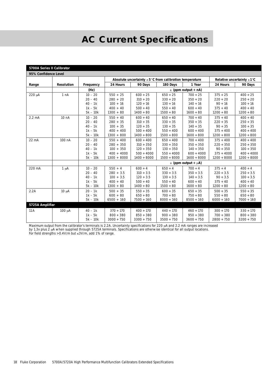# **AC Current Specifications**

| <b>5700A Series II Calibrator</b> |                   |           |               |                                                                     |               |                              |                                       |               |
|-----------------------------------|-------------------|-----------|---------------|---------------------------------------------------------------------|---------------|------------------------------|---------------------------------------|---------------|
| 95% Confidence Level              |                   |           |               |                                                                     |               |                              |                                       |               |
|                                   |                   |           |               | Absolute uncertainty $\pm 5^{\circ}$ C from calibration temperature |               |                              | Relative uncertainty $\pm 1^{\circ}C$ |               |
| Range                             | <b>Resolution</b> | Frequency | 24 Hours      | 90 Days                                                             | 180 Days      | 1 Year                       | 24 Hours                              | 90 Days       |
|                                   |                   | (Hz)      |               |                                                                     |               | $\pm$ (ppm output + nA)      |                                       |               |
| $220 \mu A$                       | 1 nA              | $10 - 20$ | $550 + 25$    | $600 + 25$                                                          | $650 + 25$    | $700 + 25$                   | $375 + 25$                            | $400 + 25$    |
|                                   |                   | $20 - 40$ | $280 + 20$    | $310 + 20$                                                          | $330 + 20$    | $350 + 20$                   | $220 + 20$                            | $250 + 20$    |
|                                   |                   | $40 - 1k$ | $100 + 16$    | $120 + 16$                                                          | $130 + 16$    | $140 + 16$                   | $90 + 16$                             | $100 + 16$    |
|                                   |                   | $1k - 5k$ | $400 + 40$    | $500 + 40$                                                          | $550 + 40$    | $600 + 40$                   | $375 + 40$                            | $400 + 40$    |
|                                   |                   | 5k - 10k  | $1300 + 80$   | $1400 + 80$                                                         | $1500 + 80$   | $1600 + 80$                  | $1200 + 80$                           | $1200 + 80$   |
| $2.2 \text{ mA}$                  | 10 <sub>nA</sub>  | $10 - 20$ | $550 + 40$    | $600 + 40$                                                          | $650 + 40$    | $700 + 40$                   | $375 + 40$                            | $400 + 40$    |
|                                   |                   | $20 - 40$ | $280 + 35$    | $310 + 35$                                                          | $330 + 35$    | $350 + 35$                   | $220 + 35$                            | $250 + 35$    |
|                                   |                   | $40 - 1k$ | $100 + 35$    | $120 + 35$                                                          | $130 + 35$    | $140 + 35$                   | $90 + 35$                             | $100 + 35$    |
|                                   |                   | $1k - 5k$ | $400 + 400$   | $500 + 400$                                                         | $550 + 400$   | $600 + 400$                  | $375 + 400$                           | $400 + 400$   |
|                                   |                   | 5k - 10k  | $1300 + 800$  | $1400 + 800$                                                        | $1500 + 800$  | $1600 + 800$                 | $1200 + 800$                          | $1200 + 800$  |
| $22 \text{ mA}$                   | $100$ nA          | $10 - 20$ | $550 + 400$   | $600 + 400$                                                         | $650 + 400$   | $700 + 400$                  | $375 + 400$                           | $400 + 400$   |
|                                   |                   | $20 - 40$ | $280 + 350$   | $310 + 350$                                                         | $330 + 350$   | $350 + 350$                  | $220 + 350$                           | $250 + 350$   |
|                                   |                   | $40 - 1k$ | $100 + 350$   | $120 + 350$                                                         | $130 + 350$   | $140 + 350$                  | $90 + 350$                            | $100 + 350$   |
|                                   |                   | $1k - 5k$ | $400 + 4000$  | $500 + 4000$                                                        | $550 + 4000$  | $600 + 4000$                 | $375 + 4000$                          | $400 + 4000$  |
|                                   |                   | 5k - 10k  | $1300 + 8000$ | $1400 + 8000$                                                       | $1500 + 8000$ | $1600 + 8000$                | $1200 + 8000$                         | $1200 + 8000$ |
|                                   |                   |           |               |                                                                     |               | $\pm$ (ppm output + $\mu$ A) |                                       |               |
| 220 mA                            | $1 \mu A$         | $10 - 20$ | $550 + 4$     | $600 + 4$                                                           | $650 + 4$     | $700 + 4$                    | $375 + 4$                             | $400 + 4$     |
|                                   |                   | $20 - 40$ | $280 + 3.5$   | $310 + 3.5$                                                         | $330 + 3.5$   | $350 + 3.5$                  | $220 + 3.5$                           | $250 + 3.5$   |
|                                   |                   | $40 - 1k$ | $100 + 3.5$   | $120 + 3.5$                                                         | $130 + 3.5$   | $140 + 3.5$                  | $90 + 3.5$                            | $100 + 3.5$   |
|                                   |                   | $1k - 5k$ | $400 + 40$    | $500 + 40$                                                          | $550 + 40$    | $600 + 40$                   | $375 + 40$                            | $400 + 40$    |
|                                   |                   | 5k - 10k  | $1300 + 80$   | $1400 + 80$                                                         | $1500 + 80$   | $1600 + 80$                  | $1200 + 80$                           | $1200 + 80$   |
| 2.2A                              | $10 \mu A$        | $20 - 1k$ | $500 + 35$    | $550 + 35$                                                          | $600 + 35$    | $650 + 35$                   | $500 + 35$                            | $550 + 35$    |
|                                   |                   | $1k - 5k$ | $600 + 80$    | $650 + 80$                                                          | $700 + 80$    | $750 + 80$                   | $550 + 80$                            | $650 + 80$    |
|                                   |                   | 5k - 10k  | $6500 + 160$  | $7500 + 160$                                                        | $8000 + 160$  | $8500 + 160$                 | $6000 + 160$                          | $7000 + 160$  |
| 5725A Amplifier                   |                   |           |               |                                                                     |               |                              |                                       |               |
| 11A                               | $100 \mu A$       | $40 - 1k$ | $370 + 170$   | $400 + 170$                                                         | $440 + 170$   | $460 + 170$                  | $300 + 170$                           | $330 + 170$   |
|                                   |                   | $1k - 5k$ | $800 + 380$   | $850 + 380$                                                         | $900 + 380$   | $950 + 380$                  | $700 + 380$                           | $800 + 380$   |
|                                   |                   | 5k - 10k  | $3000 + 750$  | $3300 + 750$                                                        | $3500 + 750$  | $3600 + 750$                 | $2800 + 750$                          | $3200 + 750$  |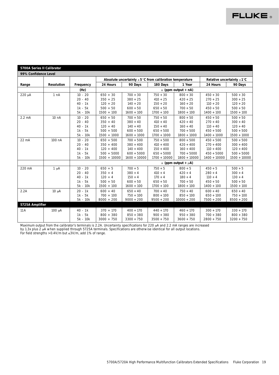### **5700A Series II Calibrator**

**99% Confidence Level**

| 99% Connaence Level |                   |                  |                |                                                                     |                |                              |                |                                       |
|---------------------|-------------------|------------------|----------------|---------------------------------------------------------------------|----------------|------------------------------|----------------|---------------------------------------|
|                     |                   |                  |                | Absolute uncertainty $\pm 5^{\circ}$ C from calibration temperature |                |                              |                | Relative uncertainty $\pm 1^{\circ}C$ |
| Range               | <b>Resolution</b> | <b>Frequency</b> | 24 Hours       | 90 Days                                                             | 180 Days       | 1 Year                       | 24 Hours       | 90 Days                               |
|                     |                   | (Hz)             |                |                                                                     |                | $\pm$ (ppm output + nA)      |                |                                       |
| 220 µA              | 1 nA              | $10 - 20$        | $650 + 30$     | $700 + 30$                                                          | $750 + 30$     | $800 + 30$                   | $450 + 30$     | $500 + 30$                            |
|                     |                   | $20 - 40$        | $350 + 25$     | $380 + 25$                                                          | $410 + 25$     | $420 + 25$                   | $270 + 25$     | $300 + 25$                            |
|                     |                   | $40 - 1k$        | $120 + 20$     | $140 + 20$                                                          | $150 + 20$     | $160 + 20$                   | $110 + 20$     | $120 + 20$                            |
|                     |                   | $1k - 5k$        | $500 + 50$     | $600 + 50$                                                          | $650 + 50$     | $700 + 50$                   | $450 + 50$     | $500 + 50$                            |
|                     |                   | 5k - 10k         | $1500 + 100$   | $1600 + 100$                                                        | $1700 + 100$   | $1800 + 100$                 | $1400 + 100$   | $1500 + 100$                          |
| $2.2 \text{ mA}$    | 10 <sub>nA</sub>  | $10 - 20$        | $650 + 50$     | $700 + 50$                                                          | $750 + 50$     | $800 + 50$                   | $450 + 50$     | $500 + 50$                            |
|                     |                   | $20 - 40$        | $350 + 40$     | $380 + 40$                                                          | $410 + 40$     | $420 + 40$                   | $270 + 40$     | $300 + 40$                            |
|                     |                   | $40 - 1k$        | $120 + 40$     | $140 + 40$                                                          | $150 + 40$     | $160 + 40$                   | $110 + 40$     | $120 + 40$                            |
|                     |                   | $1k - 5k$        | $500 + 500$    | $600 + 500$                                                         | $650 + 500$    | $700 + 500$                  | $450 + 500$    | $500 + 500$                           |
|                     |                   | 5k - 10k         | $1500 + 1000$  | $1600 + 1000$                                                       | $1700 + 1000$  | $1800 + 1000$                | $1400 + 1000$  | $1500 + 1000$                         |
| $22 \text{ mA}$     | $100$ nA          | $10 - 20$        | $650 + 500$    | $700 + 500$                                                         | $750 + 500$    | $800 + 500$                  | $450 + 500$    | $500 + 500$                           |
|                     |                   | $20 - 40$        | $350 + 400$    | $380 + 400$                                                         | $410 + 400$    | $420 + 400$                  | $270 + 400$    | $300 + 400$                           |
|                     |                   | $40 - 1k$        | $120 + 400$    | $140 + 400$                                                         | $150 + 400$    | $160 + 400$                  | $110 + 400$    | $120 + 400$                           |
|                     |                   | $1k - 5k$        | $500 + 5000$   | $600 + 5000$                                                        | $650 + 5000$   | $700 + 5000$                 | $450 + 5000$   | $500 + 5000$                          |
|                     |                   | 5k - 10k         | $1500 + 10000$ | $1600 + 10000$                                                      | $1700 + 10000$ | $1800 + 10000$               | $1400 + 10000$ | $1500 + 10000$                        |
|                     |                   |                  |                |                                                                     |                | $\pm$ (ppm output + $\mu$ A) |                |                                       |
| 220 mA              | $1 \mu A$         | $10 - 20$        | $650 + 5$      | $700 + 5$                                                           | $750 + 5$      | $800 + 5$                    | $450 + 5$      | $500 + 5$                             |
|                     |                   | $20 - 40$        | $350 + 4$      | $380 + 4$                                                           | $410 + 4$      | $420 + 4$                    | $280 + 4$      | $300 + 4$                             |
|                     |                   | $40 - 1k$        | $120 + 4$      | $150 + 4$                                                           | $170 + 4$      | $180 + 4$                    | $110 + 4$      | $130 + 4$                             |
|                     |                   | $1k - 5k$        | $500 + 50$     | $600 + 50$                                                          | $650 + 50$     | $700 + 50$                   | $450 + 50$     | $500 + 50$                            |
|                     |                   | $5k - 10k$       | $1500 + 100$   | $1600 + 100$                                                        | $1700 + 100$   | $1800 + 100$                 | $1400 + 100$   | $1500 + 100$                          |
| 2.2A                | $10 \mu A$        | $20 - 1k$        | $600 + 40$     | $650 + 40$                                                          | $700 + 40$     | $750 + 40$                   | $600 + 40$     | $650 + 40$                            |
|                     |                   | $1k - 5k$        | $700 + 100$    | $750 + 100$                                                         | $800 + 100$    | $850 + 100$                  | $650 + 100$    | $750 + 100$                           |
|                     |                   | 5k - 10k         | $8000 + 200$   | $9000 + 200$                                                        | $9500 + 200$   | $10000 + 200$                | $7500 + 200$   | $8500 + 200$                          |
| 5725A Amplifier     |                   |                  |                |                                                                     |                |                              |                |                                       |
| 11A                 | 100 µA            | $40 - 1k$        | $370 + 170$    | $400 + 170$                                                         | $440 + 170$    | $460 + 170$                  | $300 + 170$    | $330 + 170$                           |
|                     |                   | $1k - 5k$        | $800 + 380$    | $850 + 380$                                                         | $900 + 380$    | $950 + 380$                  | $700 + 380$    | $800 + 380$                           |
|                     |                   | 5k - 10k         | $3000 + 750$   | $3300 + 750$                                                        | $3500 + 750$   | $3600 + 750$                 | $2800 + 750$   | $3200 + 750$                          |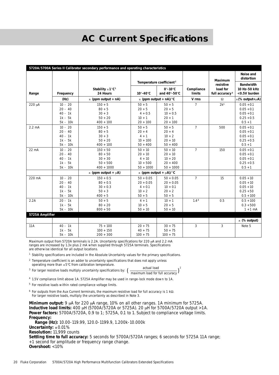### **AC Current Specifications**

|                  |                  | 5720A/5700A Series II Calibrator secondary performance and operating characteristics |                               |                                         |                  |                            |                                |
|------------------|------------------|--------------------------------------------------------------------------------------|-------------------------------|-----------------------------------------|------------------|----------------------------|--------------------------------|
|                  |                  |                                                                                      |                               |                                         |                  | <b>Maximum</b>             | <b>Noise and</b><br>distortion |
|                  |                  |                                                                                      |                               | Temperature coefficient <sup>2</sup>    |                  | resistive                  | <b>Bandwidth</b>               |
|                  |                  | Stability $\pm 1^{\circ}C^{1}$                                                       |                               | $0^\circ - 10^\circ C$                  | Compliance       | load for                   | 10 Hz-50 kHz                   |
| Range            | <b>Frequency</b> | 24 Hours                                                                             | $10^{\circ}$ -40 $^{\circ}$ C | and $40^\circ$ -50 $^\circ$ C           | limits           | full accuracy <sup>3</sup> | $<$ 0.5V burden                |
|                  | (Hz)             | $\pm$ (ppm output + nA)                                                              |                               | $\pm$ (ppm output + nA)/ <sup>o</sup> C | V rms            | $\Omega$                   | $\pm$ (% output+ $\mu$ A)      |
| 220 µA           | $10 - 20$        | $150 + 5$                                                                            | $50 + 5$                      | $50 + 5$                                | $\mathcal{I}$    | 2k <sup>6</sup>            | $0.05 + 0.1$                   |
|                  | $20 - 40$        | $80 + 5$                                                                             | $20 + 5$                      | $20 + 5$                                |                  |                            | $0.05 + 0.1$                   |
|                  | $40 - 1k$        | $30 + 3$                                                                             | $4 + 0.5$                     | $10 + 0.5$                              |                  |                            | $0.05 + 0.1$                   |
|                  | $1k - 5k$        | $50 + 20$                                                                            | $10 + 1$                      | $20 + 1$                                |                  |                            | $0.25 + 0.5$                   |
|                  | 5k - 10k         | $400 + 100$                                                                          | $20 + 100$                    | $20 + 100$                              |                  |                            | $0.5 + 1$                      |
| $2.2 \text{ mA}$ | $10 - 20$        | $150 + 5$                                                                            | $50 + 5$                      | $50 + 5$                                | $\mathcal{I}$    | 500                        | $0.05 + 0.1$                   |
|                  | $20 - 40$        | $80 + 5$                                                                             | $20 + 4$                      | $20 + 4$                                |                  |                            | $0.05 + 0.1$                   |
|                  | $40 - 1k$        | $30 + 3$                                                                             | $4 + 1$                       | $10 + 2$                                |                  |                            | $0.05 + 0.1$                   |
|                  | $1k - 5k$        | $50 + 20$                                                                            | $10 + 100$                    | $20 + 10$                               |                  |                            | $0.25 + 0.5$                   |
|                  | 5k - 10k         | $400 + 100$                                                                          | $50 + 400$                    | $50 + 400$                              |                  |                            | $0.5 + 1$                      |
| $22 \text{ mA}$  | $10 - 20$        | $150 + 50$                                                                           | $50 + 10$                     | $50 + 10$                               | $\mathcal{I}$    | 150                        | $0.05 + 0.1$                   |
|                  | $20 - 40$        | $80 + 50$                                                                            | $20 + 10$                     | $20 + 10$                               |                  |                            | $0.05 + 0.1$                   |
|                  | $40 - 1k$        | $30 + 30$                                                                            | $4 + 10$                      | $10 + 20$                               |                  |                            | $0.05 + 0.1$                   |
|                  | $1k - 5k$        | $50 + 500$                                                                           | $10 + 500$                    | $20 + 400$                              |                  |                            | $0.25 + 0.5$                   |
|                  | 5k - 10k         | $400 + 1000$                                                                         | $50 + 1000$                   | $50 + 1000$                             |                  |                            | $0.5 + 1$                      |
|                  |                  | $\pm$ (ppm output + $\mu$ A)                                                         |                               | $\pm$ (ppm output + $\mu$ A)/°C         |                  |                            |                                |
| 220 mA           | $10 - 20$        | $150 + 0.5$                                                                          | $50 + 0.05$                   | $50 + 0.05$                             | $\mathcal{I}$    | 15                         | $0.05 + 10$                    |
|                  | $20 - 40$        | $80 + 0.5$                                                                           | $20 + 0.05$                   | $20 + 0.05$                             |                  |                            | $0.05 + 10$                    |
|                  | $40 - 1k$        | $30 + 0.3$                                                                           | $4 + 0.1$                     | $10 + 0.1$                              |                  |                            | $0.05 + 10$                    |
|                  | $1k - 5k$        | $50 + 3$                                                                             | $10 + 2$                      | $20 + 2$                                |                  |                            | $0.25 + 50$                    |
|                  | 5k - 10k         | $400 + 5$                                                                            | $50 + 5$                      | $50 + 5$                                |                  |                            | $0.5 + 100$                    |
| 2.2A             | $20 - 1k$        | $50 + 5$                                                                             | $4 + 1$                       | $10 + 1$                                | 1.4 <sup>4</sup> | 0.5                        | $0.5 + 100$                    |
|                  | $1k - 5k$        | $80 + 20$                                                                            | $10 + 5$                      | $20 + 5$                                |                  |                            | $0.3 + 500$                    |
|                  | 5k - 10k         | $800 + 50$                                                                           | $50 + 10$                     | $50 + 10$                               |                  |                            | $1 + 1$ mA                     |
| 5725A Amplifier  |                  |                                                                                      |                               |                                         |                  |                            |                                |
|                  |                  |                                                                                      |                               |                                         |                  |                            | $\pm$ (% output)               |
| 11A              | $40 - 1k$        | $75 + 100$                                                                           | $20 + 75$                     | $30 + 75$                               | 3                | 3                          | Note 5                         |
|                  | $1k - 5k$        | $100 + 150$                                                                          | $40 + 75$                     | $50 + 75$                               |                  |                            |                                |
|                  | 5k - 10k         | $200 + 300$                                                                          | $100 + 75$                    | $100 + 75$                              |                  |                            |                                |

Maximum output from 5720A terminals is 2.2A. Uncertainty specifications for 220  $\mu$ A and 2.2 mA ranges are increased by 1.3x plus 2 mA when supplied through 5725A terminals. Specifications are otherwise identical for all output locations.

 $1$  Stability specifications are included in the Absolute Uncertainty values for the primary specifications.

 $^{\rm 2}$  Temperature coefficient is an adder to uncertainty specifications that does not apply unless operating more than  $\pm 5^{\circ}$ C from calibration temperature.

<sup>3</sup> For larger resistive loads multiply uncertainty specifications by:  $\left(\frac{\text{actual load}}{\text{maximum load for full accuracy}}\right)^2$ maximum load for full accuracy

<sup>4</sup> 1.5V compliance limit above 1A. 5725A Amplifier may be used in range-lock mode down to 1A.

<sup>5</sup> For resistive loads within rated compliance voltage limits.

<sup>6</sup> For outputs from the Aux Current terminals, the maximum resistive load for full accuracy is 1 kΩ. For larger resistive loads, multiply the uncertainty as described in Note 3.

**Minimum output:** 9 µA for 220 µA range, 10% on all other ranges. 1A minimum for 5725A. **Inductive load limits:** 400 µH (5700A/5720A or 5725A). 20 µH for 5700A/5720A output >1A. **Power factors:** 5700A/5720A, 0.9 to 1; 5725A, 0.1 to 1. Subject to compliance voltage limits. **Frequency:**

**Range (Hz):** 10.00-119.99, 120.0-1199.9, 1.200k-10.000k **Uncertainty:** ±0.01% **Resolution:** 11,999 counts **Settling time to full accuracy:** 5 seconds for 5700A/5720A ranges; 6 seconds for 5725A 11A range; +1 second for amplitude or frequency range change.

**Overshoot:** <10%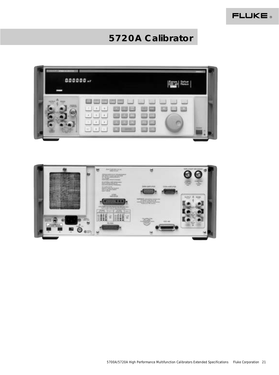### **5720A Calibrator**

**FLUKE** 



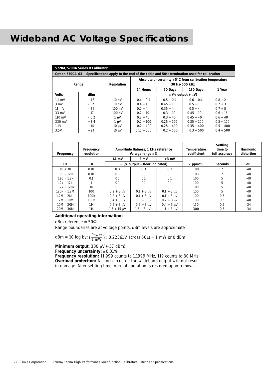### **Wideband AC Voltage Specifications**

| 5720A/5700A Series II Calibrator                                                                               |        |                   |                            |              |              |             |  |
|----------------------------------------------------------------------------------------------------------------|--------|-------------------|----------------------------|--------------|--------------|-------------|--|
| Option 5700A-03 – Specifications apply to the end of the cable and $50\Omega$ termination used for calibration |        |                   |                            |              |              |             |  |
| Absolute uncertainty $\pm 5^{\circ}$ C from calibration temperature                                            |        |                   |                            |              |              |             |  |
| Range                                                                                                          |        | <b>Resolution</b> | 30 Hz-500 kHz              |              |              |             |  |
|                                                                                                                |        |                   | 24 Hours                   | 90 Days      | 180 Days     | 1 Year      |  |
| <b>Volts</b>                                                                                                   | dBm    |                   | $\pm$ (% output + $\mu$ V) |              |              |             |  |
| $1.1 \text{ mV}$                                                                                               | - 46   | 10 <sub>nV</sub>  | $0.4 + 0.4$                | $0.5 + 0.4$  | $0.6 + 0.4$  | $0.8 + 2$   |  |
| $3 \text{ mV}$                                                                                                 | $-37$  | 10 <sub>nV</sub>  | $0.4 + 1$                  | $0.45 + 1$   | $0.5 + 1$    | $0.7 + 3$   |  |
| $11 \text{ mV}$                                                                                                | $-26$  | $100 \text{ nV}$  | $0.2 + 4$                  | $0.35 + 4$   | $0.5 + 4$    | $0.7 + 8$   |  |
| $33 \text{ mV}$                                                                                                | $-17$  | $100 \text{ nV}$  | $0.2 + 10$                 | $0.3 + 10$   | $0.45 + 10$  | $0.6 + 16$  |  |
| $110 \text{ mV}$                                                                                               | $-6.2$ | $1 \mu V$         | $0.2 + 40$                 | $0.3 + 40$   | $0.45 + 40$  | $0.6 + 40$  |  |
| $330 \text{ mV}$                                                                                               | $+3.4$ | $1 \mu V$         | $0.2 + 100$                | $0.25 + 100$ | $0.35 + 100$ | $0.5 + 100$ |  |
| 1.1V                                                                                                           | $+14$  | $10 \mu V$        | $0.2 + 400$                | $0.25 + 400$ | $0.35 + 400$ | $0.5 + 400$ |  |
| 3.5V                                                                                                           | $+24$  | $10 \mu V$        | $0.15 + 500$               | $0.2 + 500$  | $0.3 + 500$  | $0.4 + 500$ |  |

| Frequency     | Frequency<br>resolution | Amplitude flatness, 1 kHz reference<br>Voltage range $\pm\%$ |                 |                 | <b>Temperature</b><br>coefficient | <b>Settling</b><br>time to<br>full accuracy | <b>Harmonic</b><br>distortion |
|---------------|-------------------------|--------------------------------------------------------------|-----------------|-----------------|-----------------------------------|---------------------------------------------|-------------------------------|
|               |                         | $1.1$ mV                                                     | $3 \text{ mV}$  | $>3$ mV         |                                   |                                             |                               |
| Hz.           | Hz.                     | $\pm$ (% output + floor indicated)                           |                 |                 | $\pm$ ppm/°C                      | <b>Seconds</b>                              | dB                            |
| $10 + 30$     | 0.01                    | 0.3                                                          | 0.3             | 0.3             | 100                               | 7                                           | $-40$                         |
| $30 - 120$    | 0.01                    | 0.1                                                          | 0.1             | 0.1             | 100                               |                                             | $-40$                         |
| $120 - 1.2k$  | 0.1                     | 0.1                                                          | 0.1             | 0.1             | 100                               | 5                                           | $-40$                         |
| $1.2k - 12k$  |                         | 0.1                                                          | 0.1             | 0.1             | 100                               | 5                                           | $-40$                         |
| $12k - 120k$  | 10 <sup>10</sup>        | 0.1                                                          | 0.1             | 0.1             | 100                               | 5                                           | $-40$                         |
| $120k - 1.2M$ | 100                     | $0.2 + 3 \mu V$                                              | $0.1 + 3 \mu V$ | $0.1 + 3 \mu V$ | 100                               | 5                                           | $-40$                         |
| $1.2M - 2M$   | 100k                    | $0.2 + 3 \mu V$                                              | $0.1 + 3 \mu V$ | $0.1 + 3 \mu V$ | 100                               | 0.5                                         | $-40$                         |
| $2M - 10M$    | 100k                    | $0.4 + 3 \mu V$                                              | $0.3 + 3 \mu V$ | $0.2 + 3 \mu V$ | 100                               | 0.5                                         | $-40$                         |
| $10M - 20M$   | 1M                      | $0.6 + 3 \mu V$                                              | $0.5 + 3 \mu V$ | $0.4 + 3 \mu V$ | 150                               | 0.5                                         | $-34$                         |
| $20M - 30M$   | 1M                      | $1.5 + 15$ uV                                                | $1.5 + 3 uV$    | $1 + 3 \mu V$   | 300                               | 0.5                                         | $-34$                         |

#### **Additional operating information:**

dBm reference = 50Ω

Range boundaries are at voltage points, dBm levels are approximate

dBm = 10 log by:  $\left(\frac{\text{Power}}{1 \text{ mW}}\right)$  ; 0.22361V across 50 $\Omega$  = 1 mW or 0 dBm

**Minimum output:** 300 µV (-57 dBm)

**Frequency uncertainty:**  $\pm 0.01\%$ 

**Frequency resolution:** 11,999 counts to 1.1999 MHz, 119 counts to 30 MHz **Overload protection:** A short circuit on the wideband output will not result in damage. After settling time, normal operation is restored upon removal.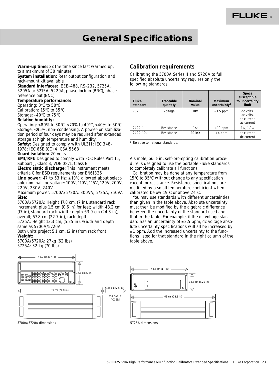### **General Specifications**

**Warm-up time:** 2x the time since last warmed up, to a maximum of 30 minutes

**System installation:** Rear output configuration and rack-mount kit available

**Standard interfaces:** IEEE-488, RS-232, 5725A, 5205A or 5215A, 5220A, phase lock in (BNC), phase

reference out (BNC)

**Temperature performance:**

Operating: 0°C to 50°C

Calibration: 15°C to 35°C

Storage: -40°C to 75°C

#### **Relative humidity:**

Operating: <80% to 30°C, <70% to 40°C, <40% to 50°C Storage: <95%, non-condensing. A power-on stabilization period of four days may be required after extended storage at high temperature and humidity.

**Safety:** Designed to comply with UL311; IEC 348-

1978; IEC 66E (CO) 4; CSA 556B

**Guard isolation:** 20 volts

**EMI/RFI:** Designed to comply with FCC Rules Part 15, Subpart J, Class B; VDE 0871, Class B

**Electro static discharge:** This instrument meets

criteria C for ESD requirements per EN61326

**Line power:** 47 to 63 Hz;  $\pm 10\%$  allowed about selectable nominal line voltage: 100V, 110V, 115V, 120V, 200V, 220V, 230V, 240V

Maximum power: 5700A/5720A: 300VA; 5725A, 750VA **Size:**

5700A/5720A: Height 17.8 cm, (7 in), standard rack increment, plus 1.5 cm (0.6 in) for feet; width 43.2 cm (17 in), standard rack width; depth 63.0 cm (24.8 in), overall; 57.8 cm (22.7 in), rack depth

5725A: Height 13.3 cm, (5.25 in); width and depth same as 5700A/5720A

Both units project 5.1 cm, (2 in) from rack front **Weight:**

5700A/5720A: 27kg (62 lbs) 5725A: 32 kg (70 lbs)

### **Calibration requirements**

Calibrating the 5700A Series II and 5720A to full specified absolute uncertainty requires only the following standards:

| Fluke<br>standard | <b>Traceable</b><br>quantity | <b>Nominal</b><br>value | <b>Maximum</b><br>uncertainty <sup>1</sup> | <b>Specs</b><br>susceptible<br>to uncertainty<br>limit |
|-------------------|------------------------------|-------------------------|--------------------------------------------|--------------------------------------------------------|
| 732B              | Voltage                      | 10 <sub>V</sub>         | $\pm 1.5$ ppm                              | dc volts.<br>ac volts,<br>dc current.<br>ac current    |
| $742A-1$          | Resistance                   | 1Ω                      | $\pm 10$ ppm                               | $1\Omega$ , $1.9\Omega$                                |
| 742A-10k          | Resistance                   | $10 \text{ k}\Omega$    | $±4$ ppm                                   | ac current,<br>dc current                              |

<sup>1</sup> Relative to national standards.

A simple, built-in, self-prompting calibration procedure is designed to use the portable Fluke standards to completely calibrate all functions.

Calibration may be done at any temperature from 15°C to 35°C without change to any specification except for resistance. Resistance specifications are modified by a small temperature coefficient when calibrated below 19°C or above 24°C.

You may use standards with different uncertainties than given in the table above. Absolute uncertainty must then be modified by the algebraic difference between the uncertainty of the standard used and that in the table. For example, if the dc voltage standard has an uncertainty of  $\pm 2.5$  ppm, dc voltage absolute uncertainty specifications will all be increased by  $\pm$  1 ppm. Add the increased uncertainty to the functions listed for that standard in the right column of the table above.